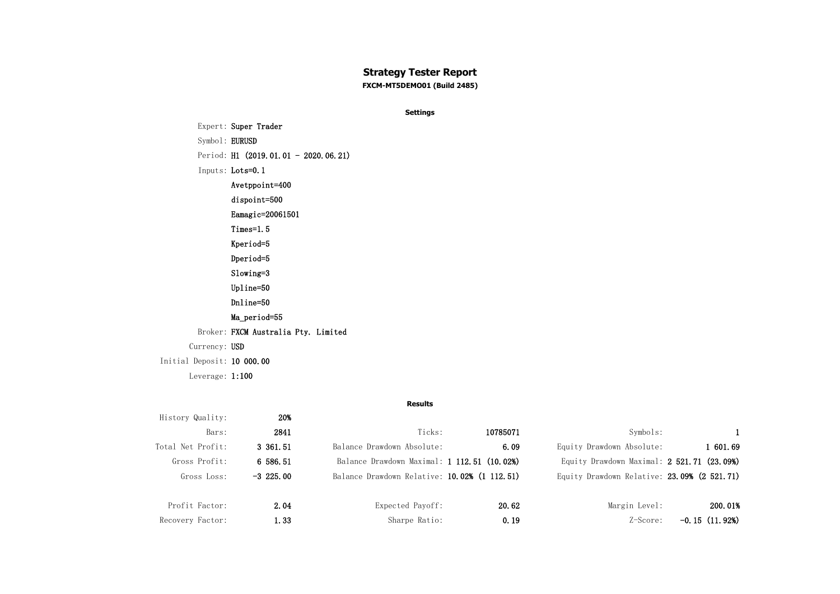## **Strategy Tester Report**

**FXCM-MT5DEMO01 (Build 2485)**

**Settings**

Expert: Super Trader Symbol: EURUSD Period: H1 (2019.01.01 - 2020.06.21) Inputs: Lots=0.1 Avetppoint=400 dispoint=500 Eamagic=20061501 Times=1.5 Kperiod=5 Dperiod=5 Slowing=3 Upline=50 Dnline=50 Ma\_period=55 Broker: FXCM Australia Pty. Limited Currency: USD Initial Deposit: 10 000.00 Leverage: 1:100

**Results**

| History Quality:  | 20%          |                                              |          |                                             |                 |
|-------------------|--------------|----------------------------------------------|----------|---------------------------------------------|-----------------|
| Bars:             | 2841         | Ticks:                                       | 10785071 | Symbols:                                    |                 |
| Total Net Profit: | 3 361.51     | Balance Drawdown Absolute:                   | 6.09     | Equity Drawdown Absolute:                   | l 601.69        |
| Gross Profit:     | 6 586.51     | Balance Drawdown Maximal: 1 112.51 (10.02%)  |          | Equity Drawdown Maximal: 2 521.71 (23.09%)  |                 |
| Gross Loss:       | $-3\,225.00$ | Balance Drawdown Relative: 10.02% (1 112.51) |          | Equity Drawdown Relative: 23.09% (2 521.71) |                 |
|                   |              |                                              |          |                                             |                 |
| Profit Factor:    | 2.04         | Expected Payoff:                             | 20.62    | Margin Level:                               | 200.01%         |
| Recovery Factor:  | 1.33         | Sharpe Ratio:                                | 0.19     | Z-Score:                                    | $-0.15(11.92%)$ |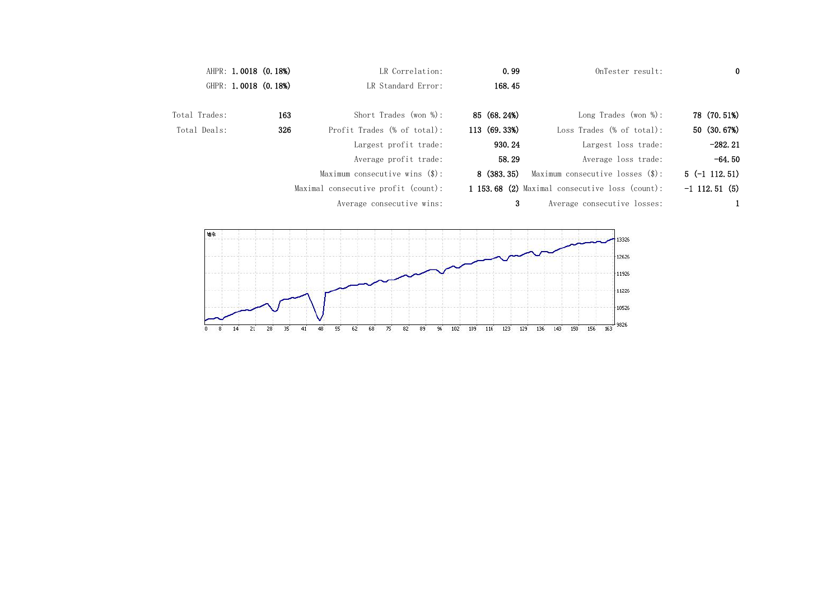|               | AHPR: 1.0018 (0.18%) | LR Correlation:                         | 0.99           | OnTester result:                               | $\bf{0}$        |
|---------------|----------------------|-----------------------------------------|----------------|------------------------------------------------|-----------------|
|               | GHPR: 1.0018 (0.18%) | LR Standard Error:                      | 168.45         |                                                |                 |
| Total Trades: | 163                  | Short Trades (won $%$ ):                | 85 (68.24%)    | Long Trades (won $\%$ ):                       | 78 (70.51%)     |
| Total Deals:  | 326                  | Profit Trades (% of total):             | 113 (69.33%)   | Loss Trades $(\% \text{ of total})$ :          | 50 (30.67%)     |
|               |                      | Largest profit trade:                   | 930.24         | Largest loss trade:                            | $-282.21$       |
|               |                      | Average profit trade:                   | 58.29          | Average loss trade:                            | $-64.50$        |
|               |                      | Maximum consecutive wins $(\text{$})$ : | 8(383, 35)     | Maximum consecutive losses $(\$)$ :            | $5(-1112.51)$   |
|               |                      | Maximal consecutive profit (count):     |                | 1 153.68 (2) Maximal consecutive loss (count): | $-1$ 112.51 (5) |
|               |                      | Average consecutive wins:               | 3 <sup>1</sup> | Average consecutive losses:                    |                 |
|               |                      |                                         |                | 13326<br>12626<br>11926<br>11226               |                 |
|               |                      |                                         |                | 10526                                          |                 |

0 8 14 21 28 35 41 48 55 62 68 75 82 89 96 102 109 116 123 129 136 143 150 156 163 9826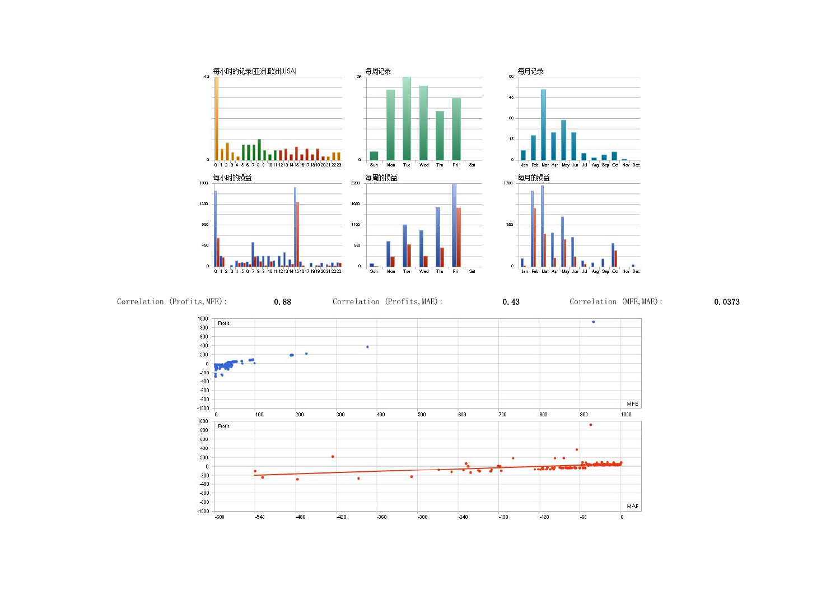

Correlation (Profits, MFE): 0.88 Correlation (Profits, MAE): 0.43 Correlation (MFE, MAE): 0.0373







|  |  | I |  |
|--|--|---|--|
|  |  |   |  |
|  |  |   |  |
|  |  |   |  |
|  |  |   |  |
|  |  |   |  |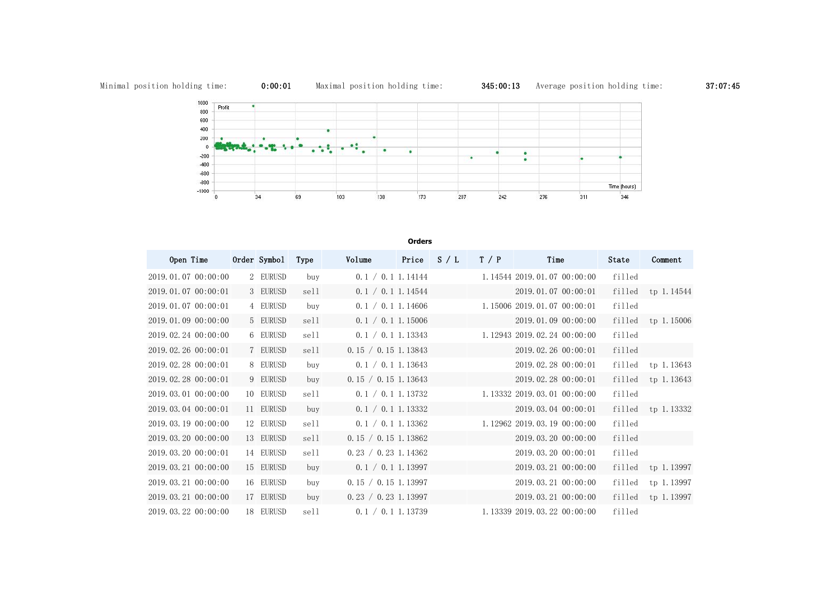

## **Orders** Open Time Order Symbol Type Volume Price S / L T / P Time State Comment 2019.01.07 00:00:00 2 EURUSD buy 0.1 / 0.1 1.14144 1.14544 2019.01.07 00:00:00 filled 2019.01.07 00:00:01 3 EURUSD sell 0.1 / 0.1 1.14544 2019.01.07 00:00:01 filled 2019.01.07 00:00:01 4 EURUSD buy 0.1 / 0.1 1.14606 1.15006 2019.01.07 00:00:01 filled 2019.01.09 00:00:00 5 EURUSD sell 0.1 / 0.1 1.15006 2019.01.09 00:00:00 filled 2019.02.24 00:00:00 6 EURUSD sell 0.1 / 0.1 1.13343 1.12943 2019.02.24 00:00:00 filled 2019.02.26 00:00:01 7 EURUSD sell 0.15 / 0.15 1.13843 2019.02.26 00:00:01 filled 2019.02.28 00:00:01 8 EURUSD buy 0.1 / 0.1 1.13643 2019.02.28 00:00:01 filled 2019.02.28 00:00:01 9 EURUSD buy 0.15 / 0.15 1.13643 2019.02.28 00:00:01 filled 2019.03.01 00:00:00 10 EURUSD sell 0.1 / 0.1 1.13732 1.13332 2019.03.01 00:00:00 filled 2019.03.04 00:00:01 11 EURUSD buy 0.1 / 0.1 1.13332 2019.03.04 00:00:01 filled 2019.03.19 00:00:00 12 EURUSD sell 0.1 / 0.1 1.13362 1.12962 2019.03.19 00:00:00 filled 2019.03.20 00:00:00 13 EURUSD sell 0.15 / 0.15 1.13862 2019.03.20 00:00:00 filled 2019.03.20 00:00:01 14 EURUSD sell 0.23 / 0.23 1.14362 2019.03.20 00:00:01 filled 2019.03.21 00:00:00 15 EURUSD buy 0.1 / 0.1 1.13997 2019.03.21 00:00:00 filled 2019.03.21 00:00:00 16 EURUSD buy 0.15 / 0.15 1.13997 2019.03.21 00:00:00 filled 2019.03.21 00:00:00 17 EURUSD buy 0.23 / 0.23 1.13997 2019.03.21 00:00:00 filled 2019.03.22 00:00:00 18 EURUSD sell 0.1 / 0.1 1.13739 1.13339 2019.03.22 00:00:00 filled

Minimal position holding time: 0:00:01 Maximal position holding time: 345:00:13 Average position holding time: 37:07:45



| Comment    |
|------------|
|            |
| tp 1.14544 |
|            |
| tp 1.15006 |
|            |
|            |
| tp 1.13643 |
| tp 1.13643 |
|            |
| tp 1.13332 |
|            |
|            |
|            |
| tp 1.13997 |
| tp 1.13997 |
| tp 1.13997 |
|            |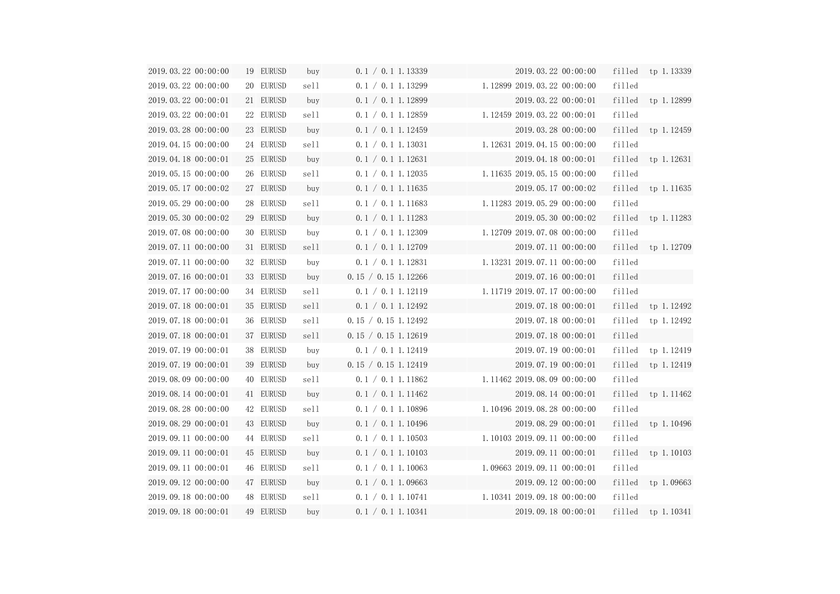| 2019.03.22 00:00:00 | 19 EURUSD | buy  | 0.1 / 0.1 1.13339   | 2019.03.22 00:00:00                               |        | filled tp 1.13339     |
|---------------------|-----------|------|---------------------|---------------------------------------------------|--------|-----------------------|
| 2019.03.22 00:00:00 | 20 EURUSD | sell | 0.1 / 0.1 1.13299   | 1.12899 2019.03.22 00:00:00                       | filled |                       |
| 2019.03.22 00:00:01 | 21 EURUSD | buy  | 0.1 / 0.1 1.12899   | 2019.03.22 00:00:01                               |        | filled tp 1.12899     |
| 2019.03.22 00:00:01 | 22 EURUSD | sell | 0.1 / 0.1 1.12859   | 1.12459 2019.03.22 00:00:01                       | filled |                       |
| 2019.03.28 00:00:00 | 23 EURUSD | buy  | 0.1 / 0.1 1.12459   | 2019.03.28 00:00:00                               |        | $filled$ tp $1.12459$ |
| 2019.04.15 00:00:00 | 24 EURUSD | sell | 0.1 / 0.1 1.13031   | 1.12631 2019.04.15 00:00:00                       | filled |                       |
| 2019.04.18 00:00:01 | 25 EURUSD | buy  | 0.1 / 0.1 1.12631   | 2019.04.18 00:00:01                               |        | filled tp 1.12631     |
| 2019.05.15 00:00:00 | 26 EURUSD | sell | 0.1 / 0.1 1.12035   | 1.11635 2019.05.15 00:00:00                       | filled |                       |
| 2019.05.17 00:00:02 | 27 EURUSD | buy  | 0.1 / 0.1 1.11635   | 2019.05.17 00:00:02                               |        | filled tp 1.11635     |
| 2019.05.29 00:00:00 | 28 EURUSD | sell |                     | $0.1 / 0.1 1.11683$ $1.11283 2019.05.29 00:00:00$ | filled |                       |
| 2019.05.30 00:00:02 | 29 EURUSD | buy  | 0.1 / 0.1 1.11283   | 2019.05.30 00:00:02                               |        | filled tp $1.11283$   |
| 2019.07.08 00:00:00 | 30 EURUSD | buy  | 0.1 / 0.1 1.12309   | 1.12709 2019.07.08 00:00:00                       | filled |                       |
| 2019.07.11 00:00:00 | 31 EURUSD | sell | 0.1 / 0.1 1.12709   | 2019.07.11 00:00:00                               |        | filled tp $1.12709$   |
| 2019.07.11 00:00:00 | 32 EURUSD | buy  | 0.1 / 0.1 1.12831   | 1.13231 2019.07.11 00:00:00                       | filled |                       |
| 2019.07.16 00:00:01 | 33 EURUSD | buy  | 0.15 / 0.15 1.12266 | 2019.07.16 00:00:01                               | filled |                       |
| 2019.07.17 00:00:00 | 34 EURUSD | sell | 0.1 / 0.1 1.12119   | 1.11719 2019.07.17 00:00:00                       | filled |                       |
| 2019.07.18 00:00:01 | 35 EURUSD | sell | 0.1 / 0.1 1.12492   | 2019.07.18 00:00:01                               |        | filled tp $1.12492$   |
| 2019.07.18 00:00:01 | 36 EURUSD | sell | 0.15 / 0.15 1.12492 | 2019.07.18 00:00:01                               | filled | tp 1.12492            |
| 2019.07.18 00:00:01 | 37 EURUSD | sell | 0.15 / 0.15 1.12619 | 2019.07.18 00:00:01                               | filled |                       |
| 2019.07.19 00:00:01 | 38 EURUSD | buy  | 0.1 / 0.1 1.12419   | 2019.07.19 00:00:01                               | filled | tp 1.12419            |
| 2019.07.19 00:00:01 | 39 EURUSD | buy  | 0.15 / 0.15 1.12419 | 2019.07.19 00:00:01                               |        | filled tp 1.12419     |
| 2019.08.09 00:00:00 | 40 EURUSD | sell |                     | $0.1 / 0.1 1.11862$ $1.11462 2019.08.09 00:00:00$ | filled |                       |
| 2019.08.14 00:00:01 | 41 EURUSD | buy  | 0.1 / 0.1 1.11462   | 2019.08.14 00:00:01                               | filled | tp 1.11462            |
| 2019.08.28 00:00:00 | 42 EURUSD | sell | 0.1 / 0.1 1.10896   | 1.10496 2019.08.28 00:00:00                       | filled |                       |
| 2019.08.29 00:00:01 | 43 EURUSD | buy  | 0.1 / 0.1 1.10496   | 2019.08.29 00:00:01                               | filled | tp 1.10496            |
| 2019.09.11 00:00:00 | 44 EURUSD | sell | 0.1 / 0.1 1.10503   | 1.10103 2019.09.11 00:00:00                       | filled |                       |
| 2019.09.11 00:00:01 | 45 EURUSD | buy  | 0.1 / 0.1 1.10103   | 2019.09.11 00:00:01                               | filled | tp 1.10103            |
| 2019.09.11 00:00:01 | 46 EURUSD | sell | 0.1 / 0.1 1.10063   | 1.09663 2019.09.11 00:00:01                       | filled |                       |
| 2019.09.12 00:00:00 | 47 EURUSD | buy  | 0.1 / 0.1 1.09663   | 2019.09.12 00:00:00                               | filled | tp 1.09663            |
| 2019.09.18 00:00:00 | 48 EURUSD | sell | 0.1 / 0.1 1.10741   | 1.10341 2019.09.18 00:00:00                       | filled |                       |
| 2019.09.18 00:00:01 | 49 EURUSD | buy  | 0.1 / 0.1 1.10341   | 2019.09.18 00:00:01                               | filled | tp 1.10341            |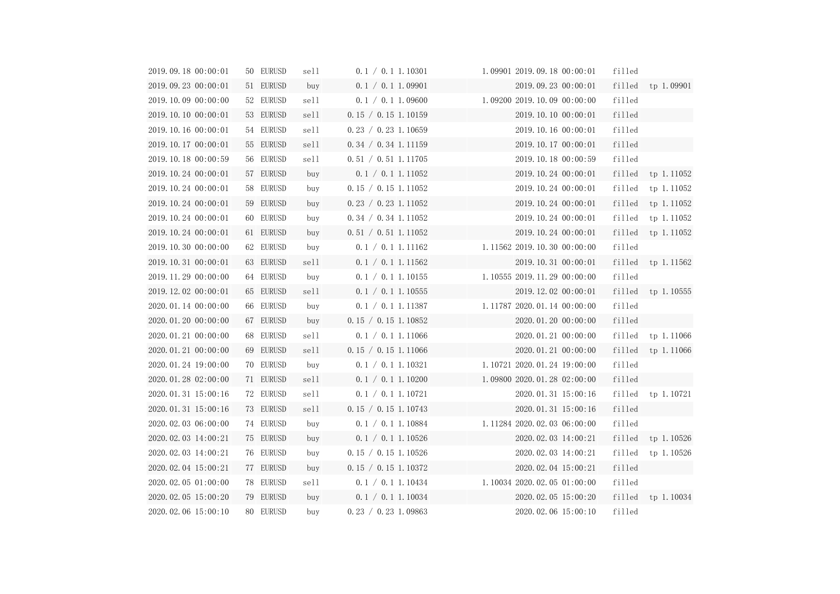| 2019.09.18 00:00:01 | 50 EURUSD | sell | 0.1 / 0.1 1.10301   | 1.09901 2019.09.18 00:00:01   | filled |                       |
|---------------------|-----------|------|---------------------|-------------------------------|--------|-----------------------|
| 2019.09.23 00:00:01 | 51 EURUSD | buy  | 0.1 / 0.1 1.09901   | 2019.09.23 00:00:01           |        | filled tp 1.09901     |
| 2019.10.09 00:00:00 | 52 EURUSD | sell | 0.1 / 0.1 1.09600   | $1.09200$ 2019.10.09 00:00:00 | filled |                       |
| 2019.10.10 00:00:01 | 53 EURUSD | sell | 0.15 / 0.15 1.10159 | 2019.10.10 00:00:01           | filled |                       |
| 2019.10.16 00:00:01 | 54 EURUSD | sell | 0.23 / 0.23 1.10659 | 2019.10.16 00:00:01           | filled |                       |
| 2019.10.17 00:00:01 | 55 EURUSD | sell | 0.34 / 0.34 1.11159 | 2019.10.17 00:00:01           | filled |                       |
| 2019.10.18 00:00:59 | 56 EURUSD | sell | 0.51 / 0.51 1.11705 | 2019.10.18 00:00:59           | filled |                       |
| 2019.10.24 00:00:01 | 57 EURUSD | buy  | 0.1 / 0.1 1.11052   | 2019.10.24 00:00:01           | filled | tp 1.11052            |
| 2019.10.24 00:00:01 | 58 EURUSD | buy  | 0.15 / 0.15 1.11052 | 2019.10.24 00:00:01           |        | filled tp 1.11052     |
| 2019.10.24 00:00:01 | 59 EURUSD | buy  | 0.23 / 0.23 1.11052 | 2019.10.24 00:00:01           | filled | tp 1.11052            |
| 2019.10.24 00:00:01 | 60 EURUSD | buy  | 0.34 / 0.34 1.11052 | 2019.10.24 00:00:01           | filled | tp 1.11052            |
| 2019.10.24 00:00:01 | 61 EURUSD | buy  | 0.51 / 0.51 1.11052 | 2019.10.24 00:00:01           |        | filled tp $1.11052$   |
| 2019.10.30 00:00:00 | 62 EURUSD | buy  | 0.1 / 0.1 1.11162   | 1.11562 2019.10.30 00:00:00   | filled |                       |
| 2019.10.31 00:00:01 | 63 EURUSD | sell | 0.1 / 0.1 1.11562   | 2019.10.31 00:00:01           |        | filled tp $1.11562$   |
| 2019.11.29 00:00:00 | 64 EURUSD | buy  | 0.1 / 0.1 1.10155   | 1.10555 2019.11.29 00:00:00   | filled |                       |
| 2019.12.02 00:00:01 | 65 EURUSD | sell | 0.1 / 0.1 1.10555   | 2019.12.02 00:00:01           |        | $filled$ tp $1.10555$ |
| 2020.01.14 00:00:00 | 66 EURUSD | buy  | 0.1 / 0.1 1.11387   | 1.11787 2020.01.14 00:00:00   | filled |                       |
| 2020.01.20 00:00:00 | 67 EURUSD | buy  | 0.15 / 0.15 1.10852 | 2020.01.20 00:00:00           | filled |                       |
| 2020.01.21 00:00:00 | 68 EURUSD | sell | 0.1 / 0.1 1.11066   | 2020.01.21 00:00:00           | filled | tp 1.11066            |
| 2020.01.21 00:00:00 | 69 EURUSD | sell | 0.15 / 0.15 1.11066 | 2020.01.21 00:00:00           |        | filled tp $1.11066$   |
| 2020.01.24 19:00:00 | 70 EURUSD | buy  | 0.1 / 0.1 1.10321   | 1.10721 2020.01.24 19:00:00   | filled |                       |
| 2020.01.28 02:00:00 | 71 EURUSD | sell | 0.1 / 0.1 1.10200   | $1.09800$ 2020.01.28 02:00:00 | filled |                       |
| 2020.01.31 15:00:16 | 72 EURUSD | sell | 0.1 / 0.1 1.10721   | 2020.01.31 15:00:16           | filled | tp 1.10721            |
| 2020.01.31 15:00:16 | 73 EURUSD | sell | 0.15 / 0.15 1.10743 | 2020.01.31 15:00:16           | filled |                       |
| 2020.02.03 06:00:00 | 74 EURUSD | buy  | 0.1 / 0.1 1.10884   | 1.11284 2020.02.03 06:00:00   | filled |                       |
| 2020.02.03 14:00:21 | 75 EURUSD | buy  | 0.1 / 0.1 1.10526   | 2020.02.03 14:00:21           | filled | tp 1.10526            |
| 2020.02.03 14:00:21 | 76 EURUSD | buy  | 0.15 / 0.15 1.10526 | 2020.02.03 14:00:21           | filled | tp 1.10526            |
| 2020.02.04 15:00:21 | 77 EURUSD | buy  | 0.15 / 0.15 1.10372 | 2020.02.04 15:00:21           | filled |                       |
| 2020.02.05 01:00:00 | 78 EURUSD | sell | 0.1 / 0.1 1.10434   | 1.10034 2020.02.05 01:00:00   | filled |                       |
| 2020.02.05 15:00:20 | 79 EURUSD | buy  | 0.1 / 0.1 1.10034   | 2020.02.05 15:00:20           | filled | tp 1.10034            |
| 2020.02.06 15:00:10 | 80 EURUSD | buy  | 0.23 / 0.23 1.09863 | 2020.02.06 15:00:10           | filled |                       |

| $\overline{a}$           | tp 1.09901 |  |
|--------------------------|------------|--|
| l                        |            |  |
|                          |            |  |
| $\overline{\phantom{a}}$ |            |  |
|                          |            |  |
| l                        |            |  |
|                          | tp 1.11052 |  |
| l                        | tp 1.11052 |  |
| $\overline{a}$           | tp 1.11052 |  |
| l                        | tp 1.11052 |  |
|                          | tp 1.11052 |  |
| $\overline{a}$           |            |  |
|                          | tp 1.11562 |  |
| l                        |            |  |
|                          | tp 1.10555 |  |
| $\overline{a}$           |            |  |
|                          |            |  |
| $\overline{\phantom{a}}$ | tp 1.11066 |  |
|                          | tp 1.11066 |  |
| $\overline{a}$           |            |  |
| $\overline{\phantom{a}}$ |            |  |
|                          | tp 1.10721 |  |
|                          |            |  |
|                          |            |  |
|                          | tp 1.10526 |  |
|                          | tp 1.10526 |  |
|                          |            |  |
|                          |            |  |
|                          | tp 1.10034 |  |
|                          |            |  |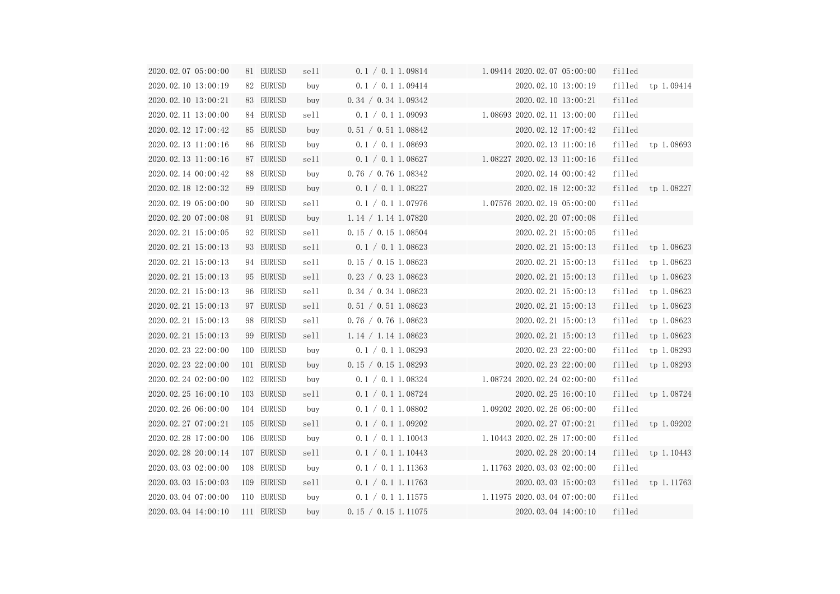| 2020.02.07 05:00:00            | 81 EURUSD  | sell | 0.1 / 0.1 1.09814   | 1.09414 2020.02.07 05:00:00                       | filled |                       |
|--------------------------------|------------|------|---------------------|---------------------------------------------------|--------|-----------------------|
| 2020.02.10 13:00:19            | 82 EURUSD  | buy  | 0.1 / 0.1 1.09414   | 2020.02.10 13:00:19                               |        | filled tp $1.09414$   |
| 2020.02.10 13:00:21            | 83 EURUSD  | buy  | 0.34 / 0.34 1.09342 | 2020.02.10 13:00:21                               | filled |                       |
| 2020.02.11 13:00:00            | 84 EURUSD  | sell | 0.1 / 0.1 1.09093   | 1.08693 2020.02.11 13:00:00                       | filled |                       |
| 2020.02.12 17:00:42            | 85 EURUSD  | buy  | 0.51 / 0.51 1.08842 | 2020.02.12 17:00:42                               | filled |                       |
| 2020.02.13 11:00:16            | 86 EURUSD  | buy  | 0.1 / 0.1 1.08693   | 2020.02.13 11:00:16                               |        | filled tp 1.08693     |
| 2020.02.13 11:00:16            | 87 EURUSD  | sell | 0.1 / 0.1 1.08627   | 1.08227 2020.02.13 11:00:16                       | filled |                       |
| 2020.02.14 00:00:42            | 88 EURUSD  | buy  | 0.76 / 0.76 1.08342 | 2020.02.14 00:00:42                               | filled |                       |
| 2020.02.18 12:00:32            | 89 EURUSD  | buy  | 0.1 / 0.1 1.08227   | 2020.02.18 12:00:32                               |        | filled tp $1.08227$   |
| 2020.02.19 05:00:00            | 90 EURUSD  | sell |                     | $0.1 / 0.1 1.07976$ $1.07576 2020.02.19 05:00:00$ | filled |                       |
| 2020.02.20 07:00:08            | 91 EURUSD  | buy  | 1.14 / 1.14 1.07820 | 2020.02.20 07:00:08                               | filled |                       |
| 2020.02.21 15:00:05            | 92 EURUSD  | sell | 0.15 / 0.15 1.08504 | 2020.02.21 15:00:05                               | filled |                       |
| 2020.02.21 15:00:13            | 93 EURUSD  | sell | 0.1 / 0.1 1.08623   | 2020.02.21 15:00:13                               |        | filled tp $1.08623$   |
| 2020.02.21 15:00:13            | 94 EURUSD  | sell | 0.15 / 0.15 1.08623 | 2020.02.21 15:00:13                               | filled | tp 1.08623            |
| 2020.02.21 15:00:13            | 95 EURUSD  | sell | 0.23 / 0.23 1.08623 | 2020.02.21 15:00:13                               | filled | tp 1.08623            |
| 2020.02.21 15:00:13            | 96 EURUSD  | sell | 0.34 / 0.34 1.08623 | 2020.02.21 15:00:13                               | filled | tp 1.08623            |
| 2020.02.21 15:00:13            | 97 EURUSD  | sell | 0.51 / 0.51 1.08623 | 2020.02.21 15:00:13                               | filled | tp 1.08623            |
| 2020.02.21 15:00:13            | 98 EURUSD  | sell | 0.76 / 0.76 1.08623 | 2020.02.21 15:00:13                               | filled | tp 1.08623            |
| 2020.02.21 15:00:13            | 99 EURUSD  | sell | 1.14 / 1.14 1.08623 | 2020.02.21 15:00:13                               | filled | tp 1.08623            |
| 2020.02.23 22:00:00            | 100 EURUSD | buy  | 0.1 / 0.1 1.08293   | 2020.02.23 22:00:00                               | filled | tp 1.08293            |
| 2020.02.23 22:00:00            | 101 EURUSD | buy  | 0.15 / 0.15 1.08293 | 2020.02.23 22:00:00                               |        | $filled$ tp $1.08293$ |
| 2020.02.24 02:00:00 102 EURUSD |            | buy  | 0.1 / 0.1 1.08324   | 1.08724 2020.02.24 02:00:00                       | filled |                       |
| 2020.02.25 16:00:10            | 103 EURUSD | sell | 0.1 / 0.1 1.08724   | 2020.02.25 16:00:10                               | filled | tp 1.08724            |
| 2020.02.26 06:00:00            | 104 EURUSD | buy  | 0.1 / 0.1 1.08802   | 1.09202 2020.02.26 06:00:00                       | filled |                       |
| 2020.02.27 07:00:21            | 105 EURUSD | sell | 0.1 / 0.1 1.09202   | 2020.02.27 07:00:21                               | filled | tp 1.09202            |
| 2020.02.28 17:00:00            | 106 EURUSD | buy  | 0.1 / 0.1 1.10043   | 1.10443 2020.02.28 17:00:00                       | filled |                       |
| 2020.02.28 20:00:14            | 107 EURUSD | sell | 0.1 / 0.1 1.10443   | 2020.02.28 20:00:14                               | filled | tp 1.10443            |
| 2020.03.03 02:00:00            | 108 EURUSD | buy  | 0.1 / 0.1 1.11363   | 1.11763 2020.03.03 02:00:00                       | filled |                       |
| 2020.03.03 15:00:03            | 109 EURUSD | sell | 0.1 / 0.1 1.11763   | 2020.03.03 15:00:03                               | filled | tp 1.11763            |
| 2020.03.04 07:00:00            | 110 EURUSD | buy  | 0.1 / 0.1 1.11575   | 1.11975 2020.03.04 07:00:00                       | filled |                       |
| 2020.03.04 14:00:10            | 111 EURUSD | buy  | 0.15 / 0.15 1.11075 | 2020.03.04 14:00:10                               | filled |                       |

| l                        |    |            |
|--------------------------|----|------------|
| l                        |    | tp 1.09414 |
| l                        |    |            |
| l                        |    |            |
| l                        |    |            |
| l                        |    | tp 1.08693 |
| l                        |    |            |
| l                        |    |            |
| l                        |    | tp 1.08227 |
| l                        |    |            |
| l                        |    |            |
| l                        |    |            |
| l                        |    | tp 1.08623 |
| l                        |    | tp 1.08623 |
| l                        |    | tp 1.08623 |
| l                        | tp | 1.08623    |
| $\overline{\phantom{a}}$ |    | tp 1.08623 |
| l                        |    | tp 1.08623 |
| l                        |    | tp 1.08623 |
| l                        |    | tp 1.08293 |
| l                        |    | tp 1.08293 |
| l                        |    |            |
| ۱                        |    | tp 1.08724 |
| l                        |    |            |
| l                        |    | tp 1.09202 |
| l                        |    |            |
| l                        |    | tp 1.10443 |
| l                        |    |            |
| l                        |    | tp 1.11763 |
| l                        |    |            |
| ۱                        |    |            |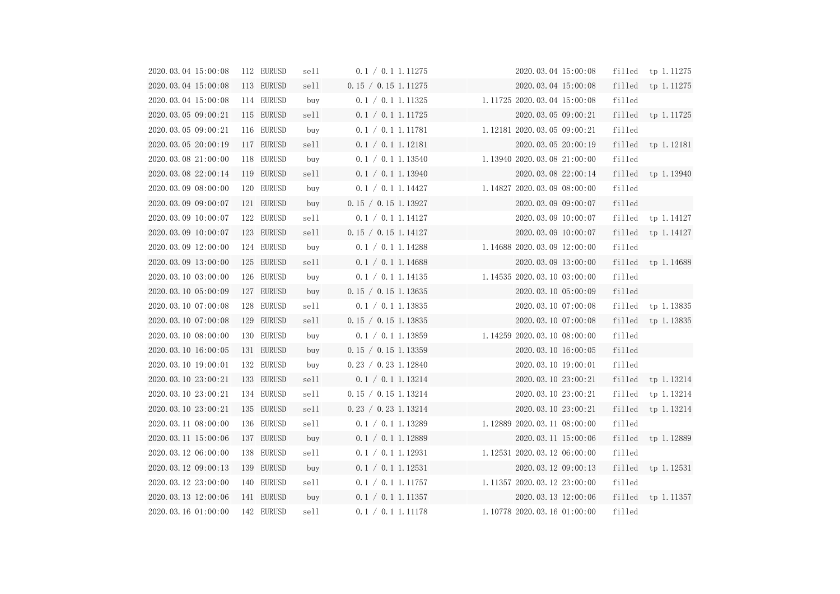| 2020.03.04 15:00:08            | 112 EURUSD |            | sell | 0.1 / 0.1 1.11275   | 2020.03.04 15:00:08         |        | filled tp $1.11275$   |
|--------------------------------|------------|------------|------|---------------------|-----------------------------|--------|-----------------------|
| 2020.03.04 15:00:08            | 113 EURUSD |            | sell | 0.15 / 0.15 1.11275 | 2020.03.04 15:00:08         |        | filled tp 1.11275     |
| 2020.03.04 15:00:08            | 114 EURUSD |            | buy  | 0.1 / 0.1 1.11325   | 1.11725 2020.03.04 15:00:08 | filled |                       |
| 2020.03.05 09:00:21            | 115 EURUSD |            | sell | 0.1 / 0.1 1.11725   | 2020.03.05 09:00:21         |        | $filled$ tp $1.11725$ |
| 2020.03.05 09:00:21            |            | 116 EURUSD | buy  | 0.1 / 0.1 1.11781   | 1.12181 2020.03.05 09:00:21 | filled |                       |
| 2020.03.05 20:00:19            |            | 117 EURUSD | sell | 0.1 / 0.1   1.12181 | 2020.03.05 20:00:19         |        | filled tp 1.12181     |
| 2020.03.08 21:00:00            |            | 118 EURUSD | buy  | 0.1 / 0.1 1.13540   | 1.13940 2020.03.08 21:00:00 | filled |                       |
| 2020.03.08 22:00:14            |            | 119 EURUSD | sell | 0.1 / 0.1 1.13940   | 2020.03.08 22:00:14         |        | filled tp 1.13940     |
| 2020.03.09 08:00:00            |            | 120 EURUSD | buy  | 0.1 / 0.1 1.14427   | 1.14827 2020.03.09 08:00:00 | filled |                       |
| 2020.03.09 09:00:07            |            | 121 EURUSD | buy  | 0.15 / 0.15 1.13927 | 2020.03.09 09:00:07         | filled |                       |
| 2020.03.09 10:00:07            |            | 122 EURUSD | sell | 0.1 / 0.1 1.14127   | 2020.03.09 10:00:07         |        | $filled$ tp $1.14127$ |
| 2020.03.09 10:00:07            |            | 123 EURUSD | sell | 0.15 / 0.15 1.14127 | 2020.03.09 10:00:07         |        | filled tp $1.14127$   |
| 2020.03.09 12:00:00            |            | 124 EURUSD | buy  | 0.1 / 0.1 1.14288   | 1.14688 2020.03.09 12:00:00 | filled |                       |
| 2020.03.09 13:00:00            |            | 125 EURUSD | sell | 0.1 / 0.1 1.14688   | 2020.03.09 13:00:00         |        | filled tp 1.14688     |
| 2020.03.10 03:00:00            |            | 126 EURUSD | buy  | 0.1 / 0.1 1.14135   | 1.14535 2020.03.10 03:00:00 | filled |                       |
| 2020.03.10 05:00:09            |            | 127 EURUSD | buy  | 0.15 / 0.15 1.13635 | 2020.03.10 05:00:09         | filled |                       |
| 2020.03.10 07:00:08            |            | 128 EURUSD | sell | 0.1 / 0.1 1.13835   | 2020.03.10 07:00:08         |        | filled tp 1.13835     |
| 2020.03.10 07:00:08            |            | 129 EURUSD | sell | 0.15 / 0.15 1.13835 | 2020.03.10 07:00:08         |        | filled tp 1.13835     |
| 2020.03.10 08:00:00            |            | 130 EURUSD | buy  | 0.1 / 0.1 1.13859   | 1.14259 2020.03.10 08:00:00 | filled |                       |
| 2020.03.10 16:00:05            |            | 131 EURUSD | buy  | 0.15 / 0.15 1.13359 | 2020.03.10 16:00:05         | filled |                       |
| 2020.03.10 19:00:01            |            | 132 EURUSD | buy  | 0.23 / 0.23 1.12840 | 2020.03.10 19:00:01         | filled |                       |
| 2020.03.10 23:00:21 133 EURUSD |            |            | sell | 0.1 / 0.1 1.13214   | 2020.03.10 23:00:21         |        | filled tp $1.13214$   |
| 2020.03.10 23:00:21            |            | 134 EURUSD | sell | 0.15 / 0.15 1.13214 | 2020.03.10 23:00:21         | filled | tp 1.13214            |
| 2020.03.10 23:00:21            |            | 135 EURUSD | sell | 0.23 / 0.23 1.13214 | 2020.03.10 23:00:21         | filled | tp 1.13214            |
| 2020.03.11 08:00:00            |            | 136 EURUSD | sell | 0.1 / 0.1 1.13289   | 1.12889 2020.03.11 08:00:00 | filled |                       |
| 2020.03.11 15:00:06            |            | 137 EURUSD | buy  | 0.1 / 0.1 1.12889   | 2020.03.11 15:00:06         | filled | tp 1.12889            |
| 2020.03.12 06:00:00            |            | 138 EURUSD | sell | 0.1 / 0.1 1.12931   | 1.12531 2020.03.12 06:00:00 | filled |                       |
| 2020.03.12 09:00:13            |            | 139 EURUSD | buy  | 0.1 / 0.1 1.12531   | 2020.03.12 09:00:13         | filled | tp 1.12531            |
| 2020.03.12 23:00:00            |            | 140 EURUSD | sell | 0.1 / 0.1 1.11757   | 1.11357 2020.03.12 23:00:00 | filled |                       |
| 2020.03.13 12:00:06            |            | 141 EURUSD | buy  | 0.1 / 0.1 1.11357   | 2020.03.13 12:00:06         | filled | tp 1.11357            |
| 2020.03.16 01:00:00            |            | 142 EURUSD | sell | 0.1 / 0.1 1.11178   | 1.10778 2020.03.16 01:00:00 | filled |                       |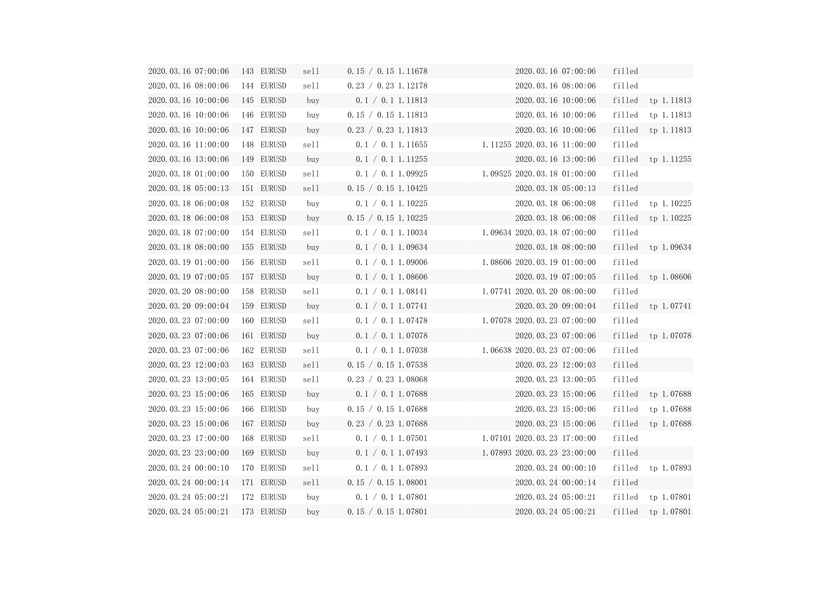| 2020.03.16 07:00:06            | 143 EURUSD | sell | 0.15 / 0.15 1.11678 | 2020.03.16 07:00:06             | filled |                       |
|--------------------------------|------------|------|---------------------|---------------------------------|--------|-----------------------|
| 2020.03.16 08:00:06            | 144 EURUSD | sell | 0.23 / 0.23 1.12178 | 2020.03.16 08:00:06             | filled |                       |
| 2020.03.16 10:00:06            | 145 EURUSD | buy  | 0.1 / 0.1 1.11813   | 2020.03.16 10:00:06             |        | filled tp 1.11813     |
| 2020.03.16 10:00:06            | 146 EURUSD | buy  | 0.15 / 0.15 1.11813 | 2020.03.16 10:00:06             | filled | tp 1.11813            |
| 2020.03.16 10:00:06            | 147 EURUSD | buy  | 0.23 / 0.23 1.11813 | 2020.03.16 10:00:06             |        | filled tp 1.11813     |
| 2020.03.16 11:00:00            | 148 EURUSD | sell | 0.1 / 0.1 1.11655   | $1.11255$ 2020.03.16 $11:00:00$ | filled |                       |
| 2020.03.16 13:00:06            | 149 EURUSD | buy  | 0.1 / 0.1 1.11255   | 2020.03.16 13:00:06             |        | filled tp 1.11255     |
| 2020.03.18 01:00:00            | 150 EURUSD | sell | 0.1 / 0.1 1.09925   | 1.09525 2020.03.18 01:00:00     | filled |                       |
| 2020.03.18 05:00:13            | 151 EURUSD | sell | 0.15 / 0.15 1.10425 | 2020.03.18 05:00:13             | filled |                       |
| 2020.03.18 06:00:08            | 152 EURUSD | buy  | 0.1 / 0.1 1.10225   | 2020.03.18 06:00:08             |        | $filled$ tp $1.10225$ |
| 2020.03.18 06:00:08            | 153 EURUSD | buy  | 0.15 / 0.15 1.10225 | 2020.03.18 06:00:08             | filled | tp 1.10225            |
| 2020.03.18 07:00:00            | 154 EURUSD | sell | 0.1 / 0.1 1.10034   | 1.09634 2020.03.18 07:00:00     | filled |                       |
| 2020.03.18 08:00:00            | 155 EURUSD | buy  | 0.1 / 0.1 1.09634   | 2020.03.18 08:00:00             |        | filled tp $1.09634$   |
| 2020.03.19 01:00:00            | 156 EURUSD | sell | 0.1 / 0.1 1.09006   | 1.08606 2020.03.19 01:00:00     | filled |                       |
| 2020.03.19 07:00:05            | 157 EURUSD | buy  | 0.1 / 0.1 1.08606   | 2020.03.19 07:00:05             | filled | tp 1.08606            |
| 2020.03.20 08:00:00            | 158 EURUSD | sell | 0.1 / 0.1 1.08141   | 1.07741 2020.03.20 08:00:00     | filled |                       |
| 2020.03.20 09:00:04            | 159 EURUSD | buy  | 0.1 / 0.1   1.07741 | 2020.03.20 09:00:04             |        | filled tp 1.07741     |
| 2020.03.23 07:00:00            | 160 EURUSD | sell | 0.1 / 0.1 1.07478   | 1.07078 2020.03.23 07:00:00     | filled |                       |
| 2020.03.23 07:00:06            | 161 EURUSD | buy  | 0.1 / 0.1 1.07078   | 2020.03.23 07:00:06             |        | filled tp 1.07078     |
| 2020.03.23 07:00:06            | 162 EURUSD | sell | 0.1 / 0.1 1.07038   | 1.06638 2020.03.23 07:00:06     | filled |                       |
| 2020.03.23 12:00:03            | 163 EURUSD | sell | 0.15 / 0.15 1.07538 | 2020.03.23 12:00:03             | filled |                       |
| 2020.03.23 13:00:05 164 EURUSD |            | sell | 0.23 / 0.23 1.08068 | 2020.03.23 13:00:05             | filled |                       |
| 2020.03.23 15:00:06            | 165 EURUSD | buy  | 0.1 / 0.1 1.07688   | 2020.03.23 15:00:06             | filled | tp 1.07688            |
| 2020.03.23 15:00:06            | 166 EURUSD | buy  | 0.15 / 0.15 1.07688 | 2020.03.23 15:00:06             | filled | tp 1.07688            |
| 2020.03.23 15:00:06            | 167 EURUSD | buy  | 0.23 / 0.23 1.07688 | 2020.03.23 15:00:06             | filled | tp 1.07688            |
| 2020.03.23 17:00:00            | 168 EURUSD | sell | 0.1 / 0.1 1.07501   | 1.07101 2020.03.23 17:00:00     | filled |                       |
| 2020.03.23 23:00:00            | 169 EURUSD | buy  | 0.1 / 0.1 1.07493   | 1.07893 2020.03.23 23:00:00     | filled |                       |
| 2020.03.24 00:00:10            | 170 EURUSD | sell | 0.1 / 0.1 1.07893   | 2020.03.24 00:00:10             | filled | tp 1.07893            |
| 2020.03.24 00:00:14            | 171 EURUSD | sell | 0.15 / 0.15 1.08001 | 2020.03.24 00:00:14             | filled |                       |
| 2020.03.24 05:00:21            | 172 EURUSD | buy  | 0.1 / 0.1 1.07801   | 2020.03.24 05:00:21             | filled | tp 1.07801            |
| 2020.03.24 05:00:21            | 173 EURUSD | buy  | 0.15 / 0.15 1.07801 | 2020.03.24 05:00:21             | filled | tp 1.07801            |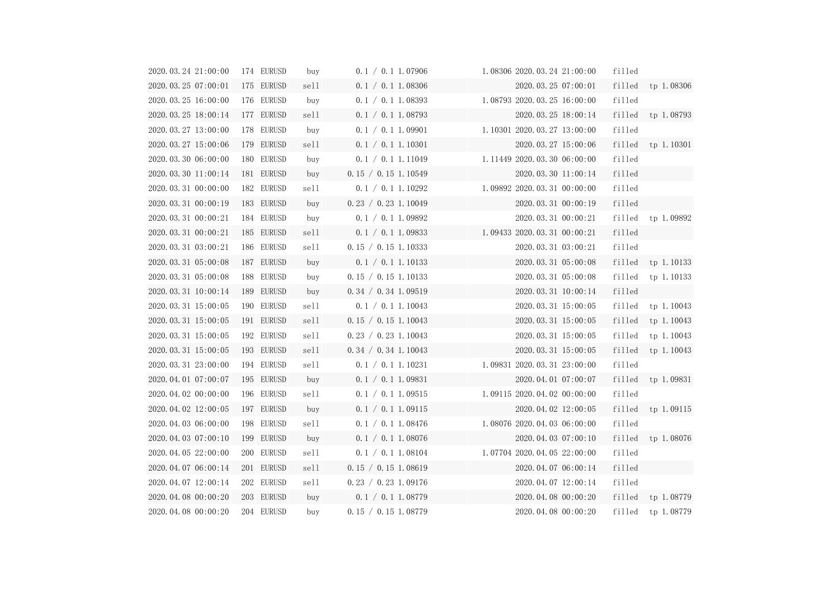| 2020.03.24 21:00:00            | 174 EURUSD | buy  | 0.1 / 0.1 1.07906   | 1.08306 2020.03.24 21:00:00   | filled |                       |
|--------------------------------|------------|------|---------------------|-------------------------------|--------|-----------------------|
| 2020.03.25 07:00:01 175 EURUSD |            | sell | 0.1 / 0.1 1.08306   | 2020.03.25 07:00:01           |        | $filled$ tp $1.08306$ |
| 2020.03.25 16:00:00            | 176 EURUSD | buy  | 0.1 / 0.1 1.08393   | 1.08793 2020.03.25 16:00:00   | filled |                       |
| 2020.03.25 18:00:14 177 EURUSD |            | sell | 0.1 / 0.1 1.08793   | 2020.03.25 18:00:14           |        | filled tp 1.08793     |
| 2020.03.27 13:00:00            | 178 EURUSD | buy  | 0.1 / 0.1 1.09901   | 1.10301 2020.03.27 13:00:00   | filled |                       |
| 2020. 03. 27 15:00:06          | 179 EURUSD | sell | 0.1 / 0.1 1.10301   | 2020.03.27 15:00:06           |        | filled tp 1.10301     |
| 2020.03.30 06:00:00            | 180 EURUSD | buy  | 0.1 / 0.1 1.11049   | 1.11449 2020.03.30 06:00:00   | filled |                       |
| 2020.03.30 11:00:14            | 181 EURUSD | buy  | 0.15 / 0.15 1.10549 | 2020.03.30 11:00:14           | filled |                       |
| 2020.03.31 00:00:00            | 182 EURUSD | sell | 0.1 / 0.1 1.10292   | 1.09892 2020.03.31 00:00:00   | filled |                       |
| 2020.03.31 00:00:19            | 183 EURUSD | buy  | 0.23 / 0.23 1.10049 | 2020.03.31 00:00:19           | filled |                       |
| 2020.03.31 00:00:21            | 184 EURUSD | buy  | 0.1 / 0.1 1.09892   | 2020.03.31 00:00:21           | filled | tp 1.09892            |
| 2020.03.31 00:00:21            | 185 EURUSD | sell | 0.1 / 0.1 1.09833   | 1.09433 2020.03.31 00:00:21   | filled |                       |
| 2020.03.31 03:00:21            | 186 EURUSD | sell | 0.15 / 0.15 1.10333 | 2020.03.31 03:00:21           | filled |                       |
| 2020.03.31 05:00:08            | 187 EURUSD | buy  | 0.1 / 0.1 1.10133   | 2020.03.31 05:00:08           |        | filled tp $1.10133$   |
| 2020.03.31 05:00:08            | 188 EURUSD | buy  | 0.15 / 0.15 1.10133 | 2020.03.31 05:00:08           |        | filled tp 1.10133     |
| 2020.03.31 10:00:14            | 189 EURUSD | buy  | 0.34 / 0.34 1.09519 | 2020.03.31 10:00:14           | filled |                       |
| 2020.03.31 15:00:05            | 190 EURUSD | sell | 0.1 / 0.1 1.10043   | 2020.03.31 15:00:05           |        | filled tp $1.10043$   |
| 2020. 03. 31 15:00:05          | 191 EURUSD | sell | 0.15 / 0.15 1.10043 | 2020.03.31 15:00:05           | filled | tp 1.10043            |
| 2020. 03. 31 15:00:05          | 192 EURUSD | sell | 0.23 / 0.23 1.10043 | 2020.03.31 15:00:05           | filled | tp 1.10043            |
| 2020.03.31 15:00:05            | 193 EURUSD | sell | 0.34 / 0.34 1.10043 | 2020.03.31 15:00:05           |        | filled tp $1.10043$   |
| 2020.03.31 23:00:00            | 194 EURUSD | sell | 0.1 / 0.1 1.10231   | 1.09831 2020.03.31 23:00:00   | filled |                       |
| 2020.04.01 07:00:07            | 195 EURUSD | buy  | 0.1 / 0.1 1.09831   | 2020.04.01 07:00:07           |        | filled tp 1.09831     |
| 2020.04.02 00:00:00            | 196 EURUSD | sell | 0.1 / 0.1 1.09515   | $1.09115$ 2020.04.02 00:00:00 | filled |                       |
| 2020.04.02 12:00:05            | 197 EURUSD | buy  | 0.1 / 0.1 1.09115   | 2020.04.02 12:00:05           | filled | tp 1.09115            |
| 2020.04.03 06:00:00            | 198 EURUSD | sell | 0.1 / 0.1 1.08476   | 1.08076 2020.04.03 06:00:00   | filled |                       |
| 2020.04.03 07:00:10            | 199 EURUSD | buy  | 0.1 / 0.1 1.08076   | 2020.04.03 07:00:10           | filled | tp 1.08076            |
| 2020.04.05 22:00:00            | 200 EURUSD | sell | 0.1 / 0.1 1.08104   | 1.07704 2020.04.05 22:00:00   | filled |                       |
| 2020.04.07 06:00:14            | 201 EURUSD | sell | 0.15 / 0.15 1.08619 | 2020.04.07 06:00:14           | filled |                       |
| 2020.04.07 12:00:14            | 202 EURUSD | sell | 0.23 / 0.23 1.09176 | 2020.04.07 12:00:14           | filled |                       |
| 2020.04.08 00:00:20            | 203 EURUSD | buy  | 0.1 / 0.1 1.08779   | 2020.04.08 00:00:20           | filled | tp 1.08779            |
| 2020.04.08 00:00:20            | 204 EURUSD | buy  | 0.15 / 0.15 1.08779 | 2020.04.08 00:00:20           | filled | tp 1.08779            |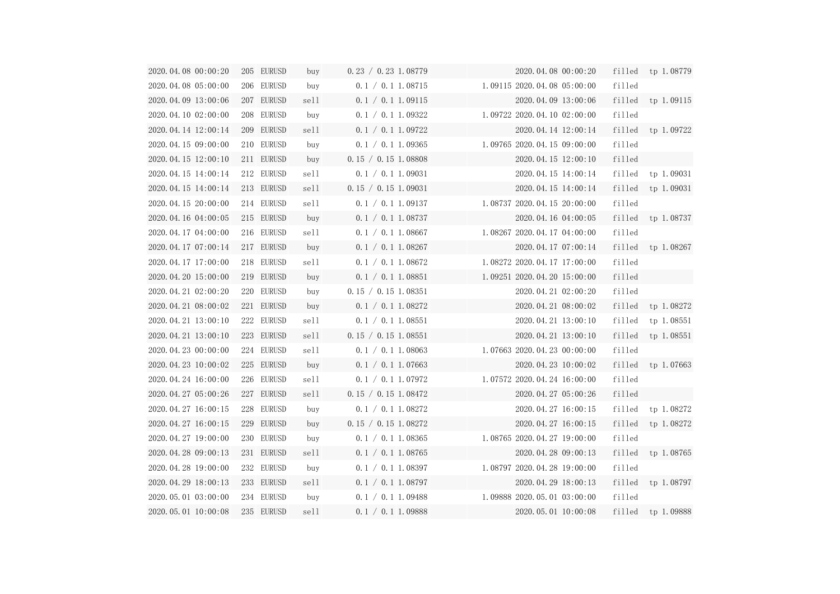| 2020.04.08 00:00:20 | 205 EURUSD | buy    | 0.23 / 0.23 1.08779 | 2020.04.08 00:00:20                                      |        | filled tp 1.08779   |
|---------------------|------------|--------|---------------------|----------------------------------------------------------|--------|---------------------|
| 2020.04.08 05:00:00 | 206 EURUSD | buy    | 0.1 / 0.1 1.08715   | 1.09115 2020.04.08 05:00:00                              | filled |                     |
| 2020.04.09 13:00:06 | 207 EURUSD | sell   | 0.1 / 0.1 1.09115   | 2020.04.09 13:00:06                                      |        | filled tp $1.09115$ |
| 2020.04.10 02:00:00 | 208 EURUSD | buy    | 0.1 / 0.1 1.09322   | $1.09722$ 2020.04.10 02:00:00                            | filled |                     |
| 2020.04.14 12:00:14 | 209 EURUSD | sell - | 0.1 / 0.1 1.09722   | 2020.04.14 12:00:14                                      |        | filled tp 1.09722   |
| 2020.04.15 09:00:00 | 210 EURUSD | buy    | 0.1 / 0.1 1.09365   | 1.09765 2020.04.15 09:00:00                              | filled |                     |
| 2020.04.15 12:00:10 | 211 EURUSD | buy    | 0.15 / 0.15 1.08808 | 2020.04.15 12:00:10                                      | filled |                     |
| 2020.04.15 14:00:14 | 212 EURUSD | sell   | 0.1 / 0.1 1.09031   | 2020.04.15 14:00:14                                      |        | filled tp 1.09031   |
| 2020.04.15 14:00:14 | 213 EURUSD | sell   | 0.15 / 0.15 1.09031 | 2020.04.15 14:00:14<br>the control of the control of the |        | filled tp $1.09031$ |
| 2020.04.15 20:00:00 | 214 EURUSD | sell   | 0.1 / 0.1 1.09137   | 1.08737 2020.04.15 20:00:00                              | filled |                     |
| 2020.04.16 04:00:05 | 215 EURUSD | buy    | 0.1 / 0.1 1.08737   | 2020.04.16 04:00:05                                      | filled | tp 1.08737          |
| 2020.04.17 04:00:00 | 216 EURUSD | sell   | 0.1 / 0.1 1.08667   | 1.08267 2020.04.17 04:00:00                              | filled |                     |
| 2020.04.17 07:00:14 | 217 EURUSD | buy    | 0.1 / 0.1 1.08267   | 2020.04.17 07:00:14                                      |        | filled tp $1.08267$ |
| 2020.04.17 17:00:00 | 218 EURUSD | sell   | 0.1 / 0.1 1.08672   | 1.08272 2020.04.17 17:00:00                              | filled |                     |
| 2020.04.20 15:00:00 | 219 EURUSD | buy    | 0.1 / 0.1 1.08851   | 1.09251 2020.04.20 15:00:00                              | filled |                     |
| 2020.04.21 02:00:20 | 220 EURUSD | buy    | 0.15 / 0.15 1.08351 | 2020.04.21 02:00:20                                      | filled |                     |
| 2020.04.21 08:00:02 | 221 EURUSD | buy    | 0.1 / 0.1 1.08272   | 2020.04.21 08:00:02                                      |        | filled tp $1.08272$ |
| 2020.04.21 13:00:10 | 222 EURUSD | sell   | 0.1 / 0.1 1.08551   | 2020.04.21 13:00:10                                      | filled | tp 1.08551          |
| 2020.04.21 13:00:10 | 223 EURUSD | sell   | 0.15 / 0.15 1.08551 | 2020.04.21 13:00:10                                      | filled | tp 1.08551          |
| 2020.04.23 00:00:00 | 224 EURUSD | sell   | 0.1 / 0.1 1.08063   | 1.07663 2020.04.23 00:00:00                              | filled |                     |
| 2020.04.23 10:00:02 | 225 EURUSD | buy    | 0.1 / 0.1 1.07663   | 2020.04.23 10:00:02                                      |        | filled tp 1.07663   |
| 2020.04.24 16:00:00 | 226 EURUSD | sell   | 0.1 / 0.1 1.07972   | 1.07572 2020.04.24 16:00:00                              | filled |                     |
| 2020.04.27 05:00:26 | 227 EURUSD | sell   | 0.15 / 0.15 1.08472 | 2020.04.27 05:00:26                                      | filled |                     |
| 2020.04.27 16:00:15 | 228 EURUSD | buy    | 0.1 / 0.1 1.08272   | 2020.04.27 16:00:15                                      | filled | tp 1.08272          |
| 2020.04.27 16:00:15 | 229 EURUSD | buy    | 0.15 / 0.15 1.08272 | 2020.04.27 16:00:15                                      | filled | tp 1.08272          |
| 2020.04.27 19:00:00 | 230 EURUSD | buy    | 0.1 / 0.1 1.08365   | 1.08765 2020.04.27 19:00:00                              | filled |                     |
| 2020.04.28 09:00:13 | 231 EURUSD | sell   | 0.1 / 0.1 1.08765   | 2020.04.28 09:00:13                                      | filled | tp 1.08765          |
| 2020.04.28 19:00:00 | 232 EURUSD | buy    | 0.1 / 0.1 1.08397   | 1.08797 2020.04.28 19:00:00                              | filled |                     |
| 2020.04.29 18:00:13 | 233 EURUSD | sell   | 0.1 / 0.1 1.08797   | 2020.04.29 18:00:13                                      | filled | tp 1.08797          |
| 2020.05.01 03:00:00 | 234 EURUSD | buy    | 0.1 / 0.1 1.09488   | 1.09888 2020.05.01 03:00:00                              | filled |                     |
| 2020.05.01 10:00:08 | 235 EURUSD | sell   | 0.1 / 0.1 1.09888   | 2020.05.01 10:00:08                                      | filled | tp 1.09888          |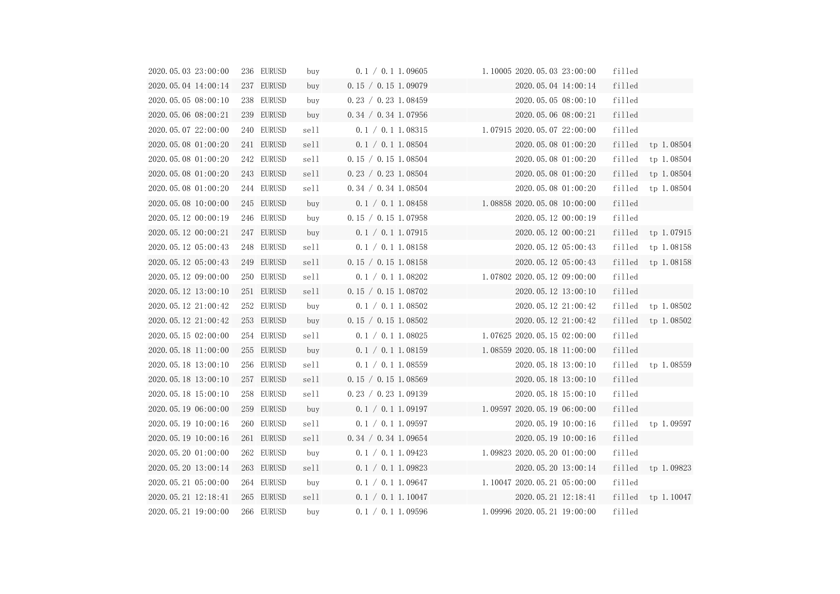| 2020.05.03 23:00:00 | 236 EURUSD    | buy  | 0.1 / 0.1 1.09605   | 1.10005 2020.05.03 23:00:00   | filled |                       |
|---------------------|---------------|------|---------------------|-------------------------------|--------|-----------------------|
| 2020.05.04 14:00:14 | 237 EURUSD    | buy  | 0.15 / 0.15 1.09079 | 2020.05.04 14:00:14           | filled |                       |
| 2020.05.05 08:00:10 | 238 EURUSD    | buy  | 0.23 / 0.23 1.08459 | 2020.05.05 08:00:10           | filled |                       |
| 2020.05.06 08:00:21 | 239 EURUSD    | buy  | 0.34 / 0.34 1.07956 | 2020.05.06 08:00:21           | filled |                       |
| 2020.05.07 22:00:00 | 240 EURUSD    | sell | 0.1 / 0.1 1.08315   | 1.07915 2020.05.07 22:00:00   | filled |                       |
| 2020.05.08 01:00:20 | 241 EURUSD    | sell | 0.1 / 0.1 1.08504   | 2020.05.08 01:00:20           |        | filled tp $1.08504$   |
| 2020.05.08 01:00:20 | 242 EURUSD    | sell | 0.15 / 0.15 1.08504 | 2020.05.08 01:00:20           | filled | tp 1.08504            |
| 2020.05.08 01:00:20 | 243 EURUSD    | sell | 0.23 / 0.23 1.08504 | 2020.05.08 01:00:20           |        | filled tp $1.08504$   |
| 2020.05.08 01:00:20 | 244 EURUSD    | sell | 0.34 / 0.34 1.08504 | 2020.05.08 01:00:20           | filled | tp 1.08504            |
| 2020.05.08 10:00:00 | 245 EURUSD    | buy  | 0.1 / 0.1 1.08458   | $1.08858$ 2020.05.08 10:00:00 | filled |                       |
| 2020.05.12 00:00:19 | 246 EURUSD    | buy  | 0.15 / 0.15 1.07958 | 2020.05.12 00:00:19           | filled |                       |
| 2020.05.12 00:00:21 | 247 EURUSD    | buy  | 0.1 / 0.1 1.07915   | 2020.05.12 00:00:21           |        | $filled$ tp $1.07915$ |
| 2020.05.12 05:00:43 | 248 EURUSD    | sell | 0.1 / 0.1 1.08158   | 2020.05.12 05:00:43           |        | filled tp $1.08158$   |
| 2020.05.12 05:00:43 | 249 EURUSD    | sell | 0.15 / 0.15 1.08158 | 2020.05.12 05:00:43           | filled | tp 1.08158            |
| 2020.05.12 09:00:00 | 250 EURUSD    | sell | 0.1 / 0.1 1.08202   | 1.07802 2020.05.12 09:00:00   | filled |                       |
| 2020.05.12 13:00:10 | 251 EURUSD    | sell | 0.15 / 0.15 1.08702 | 2020.05.12 13:00:10           | filled |                       |
| 2020.05.12 21:00:42 | 252 EURUSD    | buy  | 0.1 / 0.1 1.08502   | 2020.05.12 21:00:42           |        | $filled$ tp $1.08502$ |
| 2020.05.12 21:00:42 | 253 EURUSD    | buy  | 0.15 / 0.15 1.08502 | 2020.05.12 21:00:42           | filled | tp 1.08502            |
| 2020.05.15 02:00:00 | 254 EURUSD    | sell | 0.1 / 0.1 1.08025   | 1.07625 2020.05.15 02:00:00   | filled |                       |
| 2020.05.18 11:00:00 | 255 EURUSD    | buy  | 0.1 / 0.1 1.08159   | $1.08559$ 2020.05.18 11:00:00 | filled |                       |
| 2020.05.18 13:00:10 | 256 EURUSD    | sell | 0.1 / 0.1 1.08559   | 2020.05.18 13:00:10           |        | $filled$ tp $1.08559$ |
| 2020.05.18 13:00:10 | 257 EURUSD    | sell | 0.15 / 0.15 1.08569 | 2020.05.18 13:00:10           | filled |                       |
| 2020.05.18 15:00:10 | EURUSD<br>258 | sell | 0.23 / 0.23 1.09139 | 2020.05.18 15:00:10           | filled |                       |
| 2020.05.19 06:00:00 | 259 EURUSD    | buy  | 0.1 / 0.1 1.09197   | 1.09597 2020.05.19 06:00:00   | filled |                       |
| 2020.05.19 10:00:16 | 260 EURUSD    | sell | 0.1 / 0.1 1.09597   | 2020.05.19 10:00:16           | filled | tp 1.09597            |
| 2020.05.19 10:00:16 | 261 EURUSD    | sell | 0.34 / 0.34 1.09654 | 2020.05.19 10:00:16           | filled |                       |
| 2020.05.20 01:00:00 | 262 EURUSD    | buy  | 0.1 / 0.1 1.09423   | $1.09823$ 2020.05.20 01:00:00 | filled |                       |
| 2020.05.20 13:00:14 | 263 EURUSD    | sell | 0.1 / 0.1 1.09823   | 2020.05.20 13:00:14           | filled | tp 1.09823            |
| 2020.05.21 05:00:00 | 264 EURUSD    | buy  | 0.1 / 0.1 1.09647   | 1.10047 2020.05.21 05:00:00   | filled |                       |
| 2020.05.21 12:18:41 | 265 EURUSD    | sell | 0.1 / 0.1 1.10047   | 2020.05.21 12:18:41           | filled | tp 1.10047            |
| 2020.05.21 19:00:00 | 266 EURUSD    | buy  | 0.1 / 0.1 1.09596   | 1.09996 2020.05.21 19:00:00   | filled |                       |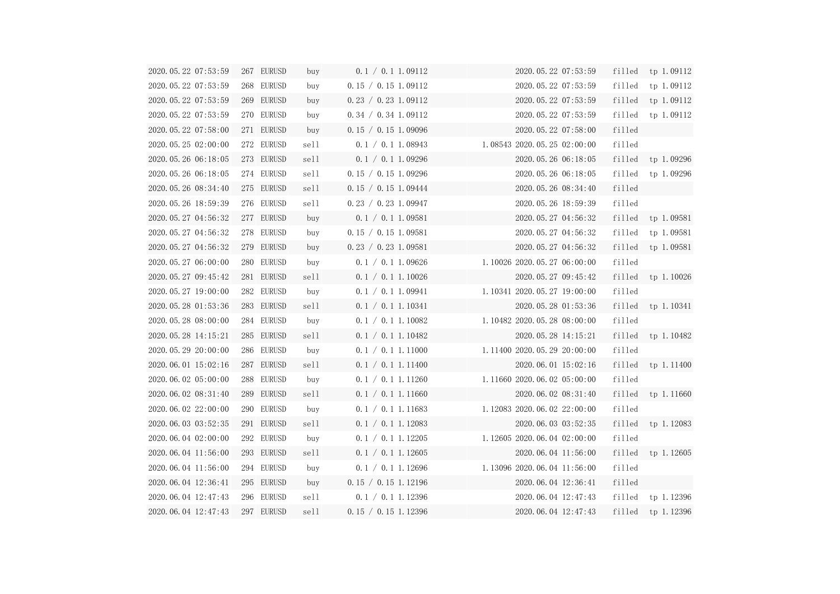| 2020.05.22 07:53:59 | 267 EURUSD | buy  | 0.1 / 0.1 1.09112   | 2020.05.22 07:53:59         |        | filled tp $1.09112$   |
|---------------------|------------|------|---------------------|-----------------------------|--------|-----------------------|
| 2020.05.22 07:53:59 | 268 EURUSD | buy  | 0.15 / 0.15 1.09112 | 2020. 05. 22 07:53:59       | filled | tp 1.09112            |
| 2020.05.22 07:53:59 | 269 EURUSD | buy  | 0.23 / 0.23 1.09112 | 2020.05.22 07:53:59         | filled | tp 1.09112            |
| 2020.05.22 07:53:59 | 270 EURUSD | buy  | 0.34 / 0.34 1.09112 | 2020.05.22 07:53:59         | filled | tp 1.09112            |
| 2020.05.22 07:58:00 | 271 EURUSD | buy  | 0.15 / 0.15 1.09096 | 2020.05.22 07:58:00         | filled |                       |
| 2020.05.25 02:00:00 | 272 EURUSD | sell | 0.1 / 0.1 1.08943   | 1.085432020.05.2502:00:00   | filled |                       |
| 2020.05.26 06:18:05 | 273 EURUSD | sell | 0.1 / 0.1 1.09296   | 2020.05.26 06:18:05         |        | $filled$ tp $1.09296$ |
| 2020.05.26 06:18:05 | 274 EURUSD | sell | 0.15 / 0.15 1.09296 | 2020.05.26 06:18:05         |        | filled tp 1.09296     |
| 2020.05.26 08:34:40 | 275 EURUSD | sell | 0.15 / 0.15 1.09444 | 2020.05.26 08:34:40         | filled |                       |
| 2020.05.26 18:59:39 | 276 EURUSD | sell | 0.23 / 0.23 1.09947 | 2020.05.26 18:59:39         | filled |                       |
| 2020.05.27 04:56:32 | 277 EURUSD | buy  | 0.1 / 0.1 1.09581   | 2020.05.27 04:56:32         |        | filled tp $1.09581$   |
| 2020.05.27 04:56:32 | 278 EURUSD | buy  | 0.15 / 0.15 1.09581 | 2020.05.27 04:56:32         | filled | tp 1.09581            |
| 2020.05.27 04:56:32 | 279 EURUSD | buy  | 0.23 / 0.23 1.09581 | 2020.05.27 04:56:32         |        | filled tp $1.09581$   |
| 2020.05.27 06:00:00 | 280 EURUSD | buy  | 0.1 / 0.1 1.09626   | 1.10026 2020.05.27 06:00:00 | filled |                       |
| 2020.05.27 09:45:42 | 281 EURUSD | sell | 0.1 / 0.1 1.10026   | 2020.05.27 09:45:42         |        | filled tp $1.10026$   |
| 2020.05.27 19:00:00 | 282 EURUSD | buy  | 0.1 / 0.1 1.09941   | 1.10341 2020.05.27 19:00:00 | filled |                       |
| 2020.05.28 01:53:36 | 283 EURUSD | sell | 0.1 / 0.1 1.10341   | 2020.05.28 01:53:36         |        | filled tp $1.10341$   |
| 2020.05.28 08:00:00 | 284 EURUSD | buy  | 0.1 / 0.1 1.10082   | 1.10482 2020.05.28 08:00:00 | filled |                       |
| 2020.05.28 14:15:21 | 285 EURUSD | sell | 0.1 / 0.1 1.10482   | 2020.05.28 14:15:21         | filled | tp 1.10482            |
| 2020.05.29 20:00:00 | 286 EURUSD | buy  | 0.1 / 0.1 1.11000   | 1.11400 2020.05.29 20:00:00 | filled |                       |
| 2020.06.01 15:02:16 | 287 EURUSD | sell | 0.1 / 0.1 1.11400   | 2020.06.01 15:02:16         |        | $filled$ tp $1.11400$ |
| 2020.06.02 05:00:00 | 288 EURUSD | buy  | 0.1 / 0.1 1.11260   | 1.11660 2020.06.02 05:00:00 | filled |                       |
| 2020.06.02 08:31:40 | 289 EURUSD | sell | 0.1 / 0.1 1.11660   | 2020.06.02 08:31:40         | filled | tp 1.11660            |
| 2020.06.02 22:00:00 | 290 EURUSD | buy  | 0.1 / 0.1 1.11683   | 1.12083 2020.06.02 22:00:00 | filled |                       |
| 2020.06.03 03:52:35 | 291 EURUSD | sell | 0.1 / 0.1 1.12083   | 2020.06.03 03:52:35         | filled | tp 1.12083            |
| 2020.06.04 02:00:00 | 292 EURUSD | buy  | 0.1 / 0.1 1.12205   | 1.12605 2020.06.04 02:00:00 | filled |                       |
| 2020.06.04 11:56:00 | 293 EURUSD | sell | 0.1 / 0.1 1.12605   | 2020.06.04 11:56:00         | filled | tp 1.12605            |
| 2020.06.04 11:56:00 | 294 EURUSD | buy  | 0.1 / 0.1 1.12696   | 1.13096 2020.06.04 11:56:00 | filled |                       |
| 2020.06.04 12:36:41 | 295 EURUSD | buy  | 0.15 / 0.15 1.12196 | 2020.06.04 12:36:41         | filled |                       |
| 2020.06.04 12:47:43 | 296 EURUSD | sell | 0.1 / 0.1 1.12396   | 2020.06.04 12:47:43         | filled | tp 1.12396            |
| 2020.06.04 12:47:43 | 297 EURUSD | sell | 0.15 / 0.15 1.12396 | 2020.06.04 12:47:43         | filled | tp 1.12396            |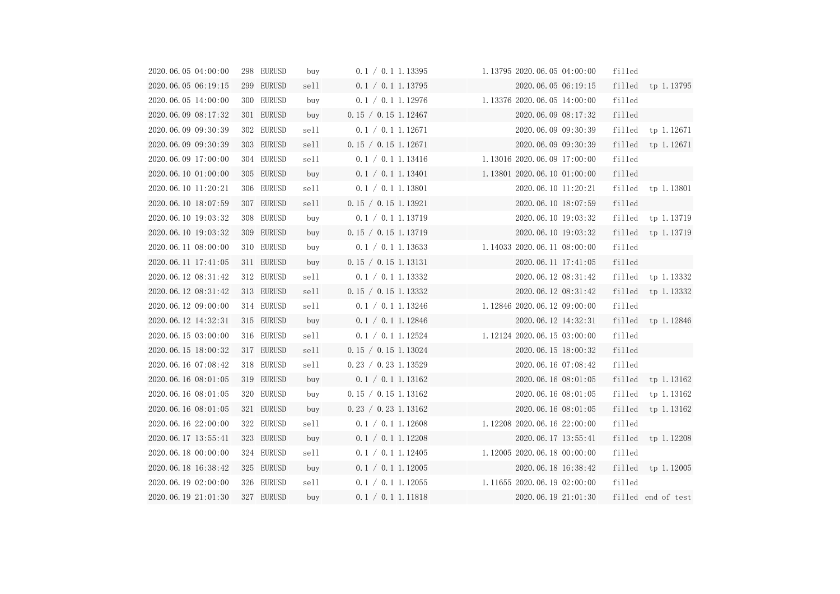| 2020.06.05 04:00:00 | 298 EURUSD    | buy  | 0.1 / 0.1 1.13395   | 1.13795 2020.06.05 04:00:00                          | filled |                       |
|---------------------|---------------|------|---------------------|------------------------------------------------------|--------|-----------------------|
| 2020.06.05 06:19:15 | 299 EURUSD    | sell | 0.1 / 0.1 1.13795   | 2020.06.05 06:19:15                                  |        | filled tp 1.13795     |
| 2020.06.05 14:00:00 | 300 EURUSD    | buy  | 0.1 / 0.1 1.12976   | 1.13376 2020.06.05 14:00:00                          | filled |                       |
| 2020.06.09 08:17:32 | 301 EURUSD    | buy  | 0.15 / 0.15 1.12467 | 2020.06.09 08:17:32                                  | filled |                       |
| 2020.06.09 09:30:39 | 302 EURUSD    | sell | 0.1 / 0.1 1.12671   | 2020.06.09 09:30:39                                  |        | filled tp 1.12671     |
| 2020.06.09 09:30:39 | 303 EURUSD    | sell | 0.15 / 0.15 1.12671 | 2020.06.09 09:30:39                                  |        | filled tp 1.12671     |
| 2020.06.09 17:00:00 | 304 EURUSD    | sell | 0.1 / 0.1 1.13416   | 1.13016 2020.06.09 17:00:00                          | filled |                       |
| 2020.06.10 01:00:00 | 305 EURUSD    | buy  | 0.1 / 0.1 1.13401   | 1.13801 2020.06.10 01:00:00                          | filled |                       |
| 2020.06.10 11:20:21 | 306 EURUSD    | sell | 0.1 / 0.1 1.13801   | 2020.06.10 11:20:21                                  |        | filled tp 1.13801     |
| 2020.06.10 18:07:59 | 307 EURUSD    | sell | 0.15 / 0.15 1.13921 | 2020.06.10 18:07:59                                  | filled |                       |
| 2020.06.10 19:03:32 | 308 EURUSD    | buy  | 0.1 / 0.1 1.13719   | 2020.06.10 19:03:32                                  |        | filled tp 1.13719     |
| 2020.06.10 19:03:32 | 309 EURUSD    | buy  | 0.15 / 0.15 1.13719 | 2020.06.10 19:03:32                                  |        | filled tp 1.13719     |
| 2020.06.11 08:00:00 | 310 EURUSD    | buy  | 0.1 / 0.1 1.13633   | 1.14033 2020.06.11 08:00:00                          | filled |                       |
| 2020.06.11 17:41:05 | 311 EURUSD    | buy  | 0.15 / 0.15 1.13131 | 2020.06.11 17:41:05                                  | filled |                       |
| 2020.06.12 08:31:42 | 312 EURUSD    | sell | 0.1 / 0.1 1.13332   | 2020.06.12 08:31:42                                  |        | filled tp 1.13332     |
| 2020.06.12 08:31:42 | 313 EURUSD    | sell | 0.15 / 0.15 1.13332 | 2020.06.12 08:31:42<br>the control of the control of |        | $filled$ tp $1.13332$ |
| 2020.06.12 09:00:00 | 314 EURUSD    | sell | 0.1 / 0.1 1.13246   | 1.12846 2020.06.12 09:00:00                          | filled |                       |
| 2020.06.12 14:32:31 | 315 EURUSD    | buy  | 0.1 / 0.1 1.12846   | 2020.06.12 14:32:31                                  |        | filled tp 1.12846     |
| 2020.06.15 03:00:00 | 316 EURUSD    | sell | 0.1 / 0.1 1.12524   | 1.12124 2020.06.15 03:00:00                          | filled |                       |
| 2020.06.15 18:00:32 | 317 EURUSD    | sell | 0.15 / 0.15 1.13024 | 2020.06.15 18:00:32                                  | filled |                       |
| 2020.06.16 07:08:42 | 318 EURUSD    | sell | 0.23 / 0.23 1.13529 | 2020.06.16 07:08:42                                  | filled |                       |
| 2020.06.16 08:01:05 | 319 EURUSD    | buy  | 0.1 / 0.1 1.13162   | 2020.06.16 08:01:05                                  |        | $filled$ tp $1.13162$ |
| 2020.06.16 08:01:05 | EURUSD<br>320 | buy  | 0.15 / 0.15 1.13162 | 2020.06.16 08:01:05                                  | filled | tp 1.13162            |
| 2020.06.16 08:01:05 | 321 EURUSD    | buy  | 0.23 / 0.23 1.13162 | 2020.06.16 08:01:05                                  | filled | tp 1.13162            |
| 2020.06.16 22:00:00 | 322 EURUSD    | sell | 0.1 / 0.1 1.12608   | 1.12208 2020.06.16 22:00:00                          | filled |                       |
| 2020.06.17 13:55:41 | 323 EURUSD    | buy  | 0.1 / 0.1 1.12208   | 2020.06.17 13:55:41                                  | filled | tp 1.12208            |
| 2020.06.18 00:00:00 | 324 EURUSD    | sell | 0.1 / 0.1 1.12405   | 1.12005 2020.06.18 00:00:00                          | filled |                       |
| 2020.06.18 16:38:42 | 325 EURUSD    | buy  | 0.1 / 0.1 1.12005   | 2020.06.18 16:38:42                                  | filled | tp 1.12005            |
| 2020.06.19 02:00:00 | 326 EURUSD    | sell | 0.1 / 0.1 1.12055   | 1.11655 2020.06.19 02:00:00                          | filled |                       |
| 2020.06.19 21:01:30 | 327 EURUSD    | buy  | 0.1 / 0.1 1.11818   | 2020.06.19 21:01:30                                  |        | filled end of test    |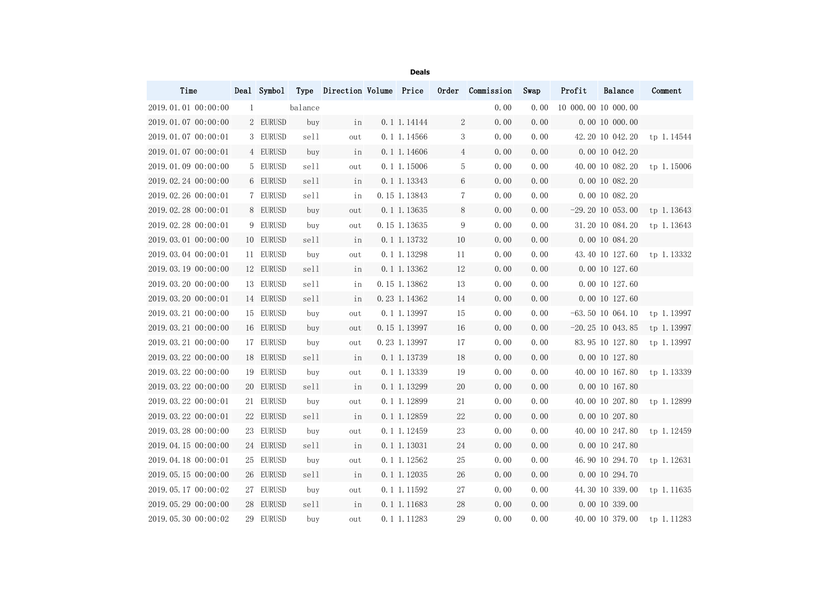|                     |           |         |     | <b>Deals</b>    |                 |                                                               |      |                     |                    |                               |
|---------------------|-----------|---------|-----|-----------------|-----------------|---------------------------------------------------------------|------|---------------------|--------------------|-------------------------------|
| Time                |           |         |     |                 |                 | Deal Symbol Type Direction Volume Price Order Commission Swap |      | Profit              | Balance            | Comment                       |
| 2019.01.01 00:00:00 | 1         | balance |     |                 |                 | 0.00                                                          | 0.00 | 10 000.00 10 000.00 |                    |                               |
| 2019.01.07 00:00:00 | 2 EURUSD  | buy     | in  | 0.1 1.14144     | $2\overline{ }$ | 0.00                                                          | 0.00 |                     | 0.00 10 000.00     |                               |
| 2019.01.07 00:00:01 | 3 EURUSD  | sell    | out | 0.11.14566      | 3               | 0.00                                                          | 0.00 |                     | 42.20 10 042.20    | tp 1.14544                    |
| 2019.01.07 00:00:01 | 4 EURUSD  | buy     | in  | 0.1 1.14606     | $4\overline{ }$ | 0.00                                                          | 0.00 |                     | 0.00 10 042.20     |                               |
| 2019.01.09 00:00:00 | 5 EURUSD  | sell    | out | $0.1$ 1.15006   | 5               | 0.00                                                          | 0.00 |                     |                    | 40.00 10 082.20 tp 1.15006    |
| 2019.02.24 00:00:00 | 6 EURUSD  | sell    | in  | 0.1 1.13343     | 6 <sup>1</sup>  | 0.00                                                          | 0.00 |                     | 0.00 10 082.20     |                               |
| 2019.02.26 00:00:01 | 7 EURUSD  | sell    | in  | 0.15 1.13843    | 7 <sup>1</sup>  | 0.00                                                          | 0.00 |                     | 0.00 10 082.20     |                               |
| 2019.02.28 00:00:01 | 8 EURUSD  | buy     | out | 0.1 1.13635     | 8               | 0.00                                                          | 0.00 |                     |                    | $-29.20$ 10 053.00 tp 1.13643 |
| 2019.02.28 00:00:01 | 9 EURUSD  | buy     | out | 0.15 1.13635    | 9               | 0.00                                                          | 0.00 |                     |                    | 31.20 10 084.20 tp 1.13643    |
| 2019.03.01 00:00:00 | 10 EURUSD | sell    | in  | $0.1 \ 1.13732$ | 10              | 0.00                                                          | 0.00 |                     | 0.00 10 084.20     |                               |
| 2019.03.04 00:00:01 | 11 EURUSD | buy     | out | 0.1 1.13298     | 11              | 0.00                                                          | 0.00 |                     |                    | 43.40 10 127.60 tp 1.13332    |
| 2019.03.19 00:00:00 | 12 EURUSD | sell    | in  | $0.1\ 1.13362$  | 12              | 0.00                                                          | 0.00 |                     | 0.00 10 127.60     |                               |
| 2019.03.20 00:00:00 | 13 EURUSD | sell    | in  | 0.15 1.13862    | 13              | 0.00                                                          | 0.00 |                     | 0.00 10 127.60     |                               |
| 2019.03.20 00:00:01 | 14 EURUSD | sell    | in  | $0.23$ 1.14362  | 14              | 0.00                                                          | 0.00 |                     | 0.00 10 127.60     |                               |
| 2019.03.21 00:00:00 | 15 EURUSD | buy     | out | 0.1 1.13997     | 15              | 0.00                                                          | 0.00 |                     | $-63.50$ 10 064.10 | tp 1.13997                    |
| 2019.03.21 00:00:00 | 16 EURUSD | buy     | out | 0.15 1.13997    | 16              | 0.00                                                          | 0.00 |                     | $-20.25$ 10 043.85 | tp 1.13997                    |
| 2019.03.21 00:00:00 | 17 EURUSD | buy     | out | 0.23 1.13997    | 17              | 0.00                                                          | 0.00 |                     |                    | 83.95 10 127.80 tp 1.13997    |
| 2019.03.22 00:00:00 | 18 EURUSD | sell    | in  | 0.1 1.13739     | 18              | 0.00                                                          | 0.00 |                     | 0.00 10 127.80     |                               |
| 2019.03.22 00:00:00 | 19 EURUSD | buy     | out | 0.1 1.13339     | 19              | 0.00                                                          | 0.00 |                     |                    | 40.00 10 167.80 tp 1.13339    |
| 2019.03.22 00:00:00 | 20 EURUSD | sell    | in  | 0.1 1.13299     | 20              | 0.00                                                          | 0.00 |                     | 0.00 10 167.80     |                               |
| 2019.03.22 00:00:01 | 21 EURUSD | buy     | out | 0.1 1.12899     | 21              | 0.00                                                          | 0.00 |                     | 40.00 10 207.80    | tp 1.12899                    |
| 2019.03.22 00:00:01 | 22 EURUSD | sell    | in  | 0.1 1.12859     | 22              | 0.00                                                          | 0.00 |                     | 0.00 10 207.80     |                               |
| 2019.03.28 00:00:00 | 23 EURUSD | buy     | out | 0.1 1.12459     | 23              | 0.00                                                          | 0.00 |                     | 40.00 10 247.80    | tp 1.12459                    |
| 2019.04.15 00:00:00 | 24 EURUSD | sell    | in  | 0.1 1.13031     | 24              | 0.00                                                          | 0.00 |                     | 0.00 10 247.80     |                               |
| 2019.04.18 00:00:01 | 25 EURUSD | buy     | out | $0.1$ 1.12562   | 25              | 0.00                                                          | 0.00 |                     | 46.90 10 294.70    | tp 1.12631                    |
| 2019.05.15 00:00:00 | 26 EURUSD | sell    | in  | $0.1\ 1.12035$  | 26              | 0.00                                                          | 0.00 |                     | 0.00 10 294.70     |                               |
| 2019.05.17 00:00:02 | 27 EURUSD | buy     | out | $0.1$ 1.11592   | 27              | 0.00                                                          | 0.00 |                     | 44.30 10 339.00    | tp 1.11635                    |
| 2019.05.29 00:00:00 | 28 EURUSD | sell    | in  | 0.1 1.11683     | 28              | 0.00                                                          | 0.00 |                     | 0.00 10 339.00     |                               |
| 2019.05.30 00:00:02 | 29 EURUSD | buy     | out | 0.1 1.11283     | 29              | 0.00                                                          | 0.00 |                     |                    | 40.00 10 379.00 tp 1.11283    |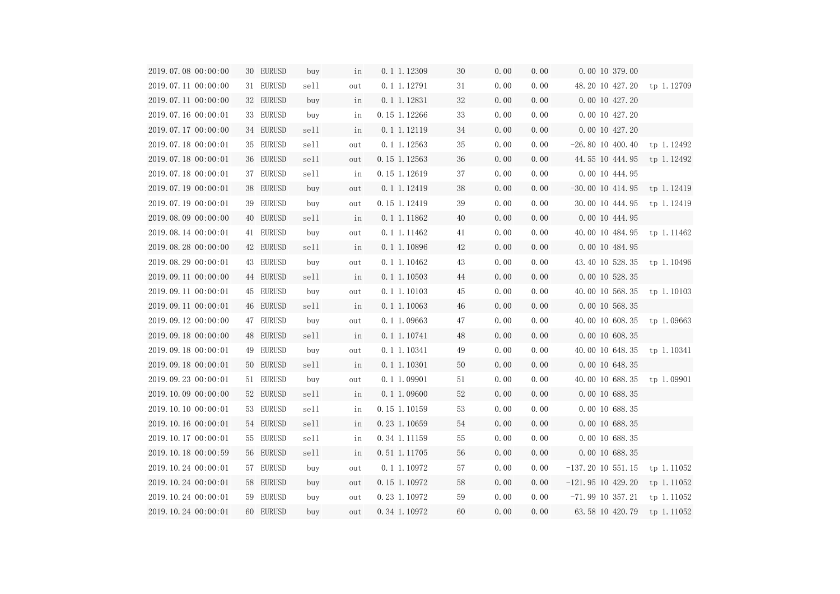| 2019.07.08 00:00:00 | 30 EURUSD | buy  | in  | $0.1\ 1.12309$   | 30 | 0.00 | 0.00 | 0.00 10 379.00                |            |
|---------------------|-----------|------|-----|------------------|----|------|------|-------------------------------|------------|
| 2019.07.11 00:00:00 | 31 EURUSD | sell | out | 0.1 1.12791      | 31 | 0.00 | 0.00 | 48.20 10 427.20 tp 1.12709    |            |
| 2019.07.11 00:00:00 | 32 EURUSD | buy  | in  | $0.1 \ 1.12831$  | 32 | 0.00 | 0.00 | 0.00 10 427.20                |            |
| 2019.07.16 00:00:01 | 33 EURUSD | buy  | in  | 0.15 1.12266     | 33 | 0.00 | 0.00 | 0.00 10 427.20                |            |
| 2019.07.17 00:00:00 | 34 EURUSD | sell | in  | $0.1 \ 1.12119$  | 34 | 0.00 | 0.00 | 0.00 10 427.20                |            |
| 2019.07.18 00:00:01 | 35 EURUSD | sell | out | $0.1$ 1.12563    | 35 | 0.00 | 0.00 | $-26.80$ 10 400.40 tp 1.12492 |            |
| 2019.07.18 00:00:01 | 36 EURUSD | sell | out | $0.15$ 1.12563   | 36 | 0.00 | 0.00 | 44.55 10 444.95 tp 1.12492    |            |
| 2019.07.18 00:00:01 | 37 EURUSD | sell | in  | 0.15 1.12619     | 37 | 0.00 | 0.00 | 0.00 10 444.95                |            |
| 2019.07.19 00:00:01 | 38 EURUSD | buy  | out | $0.1 \ 1.12419$  | 38 | 0.00 | 0.00 | $-30.00$ 10 414.95 tp 1.12419 |            |
| 2019.07.19 00:00:01 | 39 EURUSD | buy  | out | 0.15 1.12419     | 39 | 0.00 | 0.00 | 30.00 10 444.95 tp 1.12419    |            |
| 2019.08.09 00:00:00 | 40 EURUSD | sell | in  | $0.1 \ 1.11862$  | 40 | 0.00 | 0.00 | 0.00 10 444.95                |            |
| 2019.08.14 00:00:01 | 41 EURUSD | buy  | out | 0.1 1.11462      | 41 | 0.00 | 0.00 | 40.00 10 484.95 tp 1.11462    |            |
| 2019.08.28 00:00:00 | 42 EURUSD | sell | in  | 0.1 1.10896      | 42 | 0.00 | 0.00 | 0.00 10 484.95                |            |
| 2019.08.29 00:00:01 | 43 EURUSD | buy  | out | $0.1$ 1.10462    | 43 | 0.00 | 0.00 | 43.40 10 528.35 tp 1.10496    |            |
| 2019.09.11 00:00:00 | 44 EURUSD | sell | in  | $0.1 \ 1.10503$  | 44 | 0.00 | 0.00 | 0.00 10 528.35                |            |
| 2019.09.11 00:00:01 | 45 EURUSD | buy  | out | 0.1 1.10103      | 45 | 0.00 | 0.00 | 40.00 10 568.35 tp 1.10103    |            |
| 2019.09.11 00:00:01 | 46 EURUSD | sell | in  | $0.1 \ 1.10063$  | 46 | 0.00 | 0.00 | 0.00 10 568.35                |            |
| 2019.09.12 00:00:00 | 47 EURUSD | buy  | out | $0.1$ 1.09663    | 47 | 0.00 | 0.00 | 40.00 10 608.35 tp 1.09663    |            |
| 2019.09.18 00:00:00 | 48 EURUSD | sell | in  | $0.1 \, 1.10741$ | 48 | 0.00 | 0.00 | 0.00 10 608.35                |            |
| 2019.09.18 00:00:01 | 49 EURUSD | buy  | out | 0.1 1.10341      | 49 | 0.00 | 0.00 | 40.00 10 648.35 tp 1.10341    |            |
| 2019.09.18 00:00:01 | 50 EURUSD | sell | in  | $0.1 \; 1.10301$ | 50 | 0.00 | 0.00 | 0.00 10 648.35                |            |
| 2019.09.23 00:00:01 | 51 EURUSD | buy  | out | 0.1 1.09901      | 51 | 0.00 | 0.00 | 40.00 10 688.35 tp 1.09901    |            |
| 2019.10.09 00:00:00 | 52 EURUSD | sell | in  | 0.1 1.09600      | 52 | 0.00 | 0.00 | 0.00 10 688.35                |            |
| 2019.10.10 00:00:01 | 53 EURUSD | sell | in  | 0.15 1.10159     | 53 | 0.00 | 0.00 | 0.00 10 688.35                |            |
| 2019.10.16 00:00:01 | 54 EURUSD | sell | in  | 0.23 1.10659     | 54 | 0.00 | 0.00 | 0.00 10 688.35                |            |
| 2019.10.17 00:00:01 | 55 EURUSD | sell | in  | 0.34 1.11159     | 55 | 0.00 | 0.00 | 0.00 10 688.35                |            |
| 2019.10.18 00:00:59 | 56 EURUSD | sell | in  | 0.51 1.11705     | 56 | 0.00 | 0.00 | 0.00 10 688.35                |            |
| 2019.10.24 00:00:01 | 57 EURUSD | buy  | out | 0.1 1.10972      | 57 | 0.00 | 0.00 | $-137.20$ 10 551.15           | tp 1.11052 |
| 2019.10.24 00:00:01 | 58 EURUSD | buy  | out | 0.15 1.10972     | 58 | 0.00 | 0.00 | $-121.95$ 10 429.20           | tp 1.11052 |
| 2019.10.24 00:00:01 | 59 EURUSD | buy  | out | 0.23 1.10972     | 59 | 0.00 | 0.00 | $-71.99$ 10 357.21            | tp 1.11052 |
| 2019.10.24 00:00:01 | 60 EURUSD | buy  | out | 0.34 1.10972     | 60 | 0.00 | 0.00 | 63.58 10 420.79               | tp 1.11052 |

| $\overline{\phantom{a}}$ |    |            |
|--------------------------|----|------------|
| $\overline{\phantom{a}}$ |    | tp 1.12709 |
| $\overline{\phantom{a}}$ |    |            |
| )                        |    |            |
| $\overline{\phantom{a}}$ |    |            |
| $\overline{\phantom{a}}$ |    | tp 1.12492 |
|                          |    | tp 1.12492 |
| ;                        |    |            |
| ,                        |    | tp 1.12419 |
| ;                        |    | tp 1.12419 |
|                          |    |            |
| ;                        |    | tp 1.11462 |
|                          |    |            |
|                          |    | tp 1.10496 |
|                          |    |            |
| .<br>                    |    | tp 1.10103 |
|                          |    |            |
| ;                        |    | tp 1.09663 |
|                          |    |            |
| .<br>ו                   |    | tp 1.10341 |
|                          |    |            |
|                          |    | tp 1.09901 |
|                          |    |            |
|                          |    |            |
|                          |    |            |
|                          |    |            |
|                          |    |            |
|                          | tp | 1.11052    |
|                          | tp | 1.11052    |
|                          |    | tp 1.11052 |
|                          | tp | 1.11052    |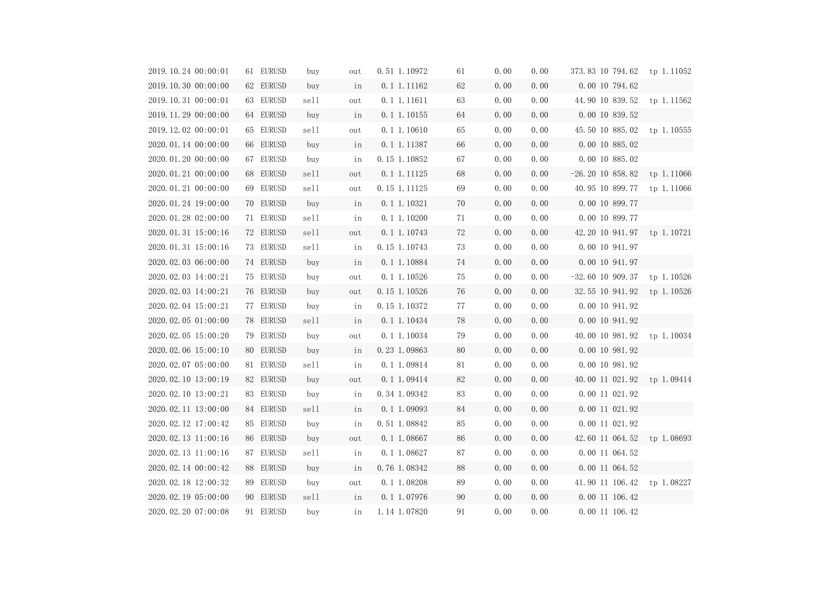| 2019.10.24 00:00:01 | 61 EURUSD | buy  | out | 0.51 1.10972     | 61 | 0.00 | 0.00 | 373.83 10 794.62 tp 1.11052   |            |
|---------------------|-----------|------|-----|------------------|----|------|------|-------------------------------|------------|
| 2019.10.30 00:00:00 | 62 EURUSD | buy  | in  | $0.1 \ 1.11162$  | 62 | 0.00 | 0.00 | 0.00 10 794.62                |            |
| 2019.10.31 00:00:01 | 63 EURUSD | sell | out | 0.1 1.11611      | 63 | 0.00 | 0.00 | 44.90 10 839.52 tp 1.11562    |            |
| 2019.11.29 00:00:00 | 64 EURUSD | buy  | in  | $0.1 \ 1.10155$  | 64 | 0.00 | 0.00 | 0.00 10 839.52                |            |
| 2019.12.02 00:00:01 | 65 EURUSD | sell | out | $0.1$ 1.10610    | 65 | 0.00 | 0.00 | 45.50 10 885.02 tp 1.10555    |            |
| 2020.01.14 00:00:00 | 66 EURUSD | buy  | in  | $0.1 \ 1.11387$  | 66 | 0.00 | 0.00 | 0.00 10 885.02                |            |
| 2020.01.20 00:00:00 | 67 EURUSD | buy  | in  | 0.15 1.10852     | 67 | 0.00 | 0.00 | 0.00 10 885.02                |            |
| 2020.01.21 00:00:00 | 68 EURUSD | sell | out | $0.1\ 1.11125$   | 68 | 0.00 | 0.00 | $-26.20$ 10 858.82 tp 1.11066 |            |
| 2020.01.21 00:00:00 | 69 EURUSD | sell | out | 0.15 1.11125     | 69 | 0.00 | 0.00 | 40.95 10 899.77 tp 1.11066    |            |
| 2020.01.24 19:00:00 | 70 EURUSD | buy  | in  | $0.1\ 1.10321$   | 70 | 0.00 | 0.00 | 0.00 10 899.77                |            |
| 2020.01.28 02:00:00 | 71 EURUSD | sell | in  | 0.1 1.10200      | 71 | 0.00 | 0.00 | 0.00 10 899.77                |            |
| 2020.01.31 15:00:16 | 72 EURUSD | sell | out | $0.1 \, 1.10743$ | 72 | 0.00 | 0.00 | 42.20 10 941.97 tp 1.10721    |            |
| 2020.01.31 15:00:16 | 73 EURUSD | sell | in  | 0.15 1.10743     | 73 | 0.00 | 0.00 | 0.00 10 941.97                |            |
| 2020.02.03 06:00:00 | 74 EURUSD | buy  | in  | 0.1 1.10884      | 74 | 0.00 | 0.00 | 0.00 10 941.97                |            |
| 2020.02.03 14:00:21 | 75 EURUSD | buy  | out | 0.1 1.10526      | 75 | 0.00 | 0.00 | $-32.60$ 10 909.37            | tp 1.10526 |
| 2020.02.03 14:00:21 | 76 EURUSD | buy  | out | 0.15 1.10526     | 76 | 0.00 | 0.00 | 32.55 10 941.92 tp 1.10526    |            |
| 2020.02.04 15:00:21 | 77 EURUSD | buy  | in  | 0.15 1.10372     | 77 | 0.00 | 0.00 | 0.00 10 941.92                |            |
| 2020.02.05 01:00:00 | 78 EURUSD | sell | in  | $0.1 \ 1.10434$  | 78 | 0.00 | 0.00 | 0.00 10 941.92                |            |
| 2020.02.05 15:00:20 | 79 EURUSD | buy  | out | 0.1 1.10034      | 79 | 0.00 | 0.00 | 40.00 10 981.92 tp 1.10034    |            |
| 2020.02.06 15:00:10 | 80 EURUSD | buy  | in  | 0.23 1.09863     | 80 | 0.00 | 0.00 | 0.00 10 981.92                |            |
| 2020.02.07 05:00:00 | 81 EURUSD | sell | in  | 0.1 1.09814      | 81 | 0.00 | 0.00 | 0.00 10 981.92                |            |
| 2020.02.10 13:00:19 | 82 EURUSD | buy  | out | $0.1 \, 1.09414$ | 82 | 0.00 | 0.00 | 40.00 11 021.92 tp 1.09414    |            |
| 2020.02.10 13:00:21 | 83 EURUSD | buy  | in  | 0.34 1.09342     | 83 | 0.00 | 0.00 | 0.00 11 021.92                |            |
| 2020.02.11 13:00:00 | 84 EURUSD | sell | in  | 0.1 1.09093      | 84 | 0.00 | 0.00 | 0.00 11 021.92                |            |
| 2020.02.12 17:00:42 | 85 EURUSD | buy  | in  | 0.51 1.08842     | 85 | 0.00 | 0.00 | 0.00 11 021.92                |            |
| 2020.02.13 11:00:16 | 86 EURUSD | buy  | out | 0.1 1.08667      | 86 | 0.00 | 0.00 | 42.60 11 064.52               | tp 1.08693 |
| 2020.02.13 11:00:16 | 87 EURUSD | sell | in  | 0.1 1.08627      | 87 | 0.00 | 0.00 | 0.00 11 064.52                |            |
| 2020.02.14 00:00:42 | 88 EURUSD | buy  | in  | 0.76 1.08342     | 88 | 0.00 | 0.00 | 0.00 11 064.52                |            |
| 2020.02.18 12:00:32 | 89 EURUSD | buy  | out | 0.1 1.08208      | 89 | 0.00 | 0.00 | 41.90 11 106.42               | tp 1.08227 |
| 2020.02.19 05:00:00 | 90 EURUSD | sell | in  | 0.1 1.07976      | 90 | 0.00 | 0.00 | 0.00 11 106.42                |            |
| 2020.02.20 07:00:08 | 91 EURUSD | buy  | in  | 1.14 1.07820     | 91 | 0.00 | 0.00 | 0.00 11 106.42                |            |

|                          | tp 1.11052 |
|--------------------------|------------|
|                          |            |
|                          | tp 1.11562 |
|                          |            |
| $\frac{1}{2}$            | tp 1.10555 |
| $\frac{1}{2}$            |            |
| $\frac{1}{2}$            |            |
| $\overline{\phantom{a}}$ | tp 1.11066 |
| i                        | tp 1.11066 |
| ֧֦֧֝ <u>֚</u>            |            |
| i                        |            |
| <b>.</b>                 | tp 1.10721 |
| i                        |            |
| ֖֚֓                      |            |
| i                        | tp 1.10526 |
|                          | tp 1.10526 |
| $\ddot{\phantom{0}}$     |            |
| $\ddot{\phantom{0}}$     |            |
| ,<br>,                   | tp 1.10034 |
| $\frac{1}{2}$            |            |
| ,<br>,                   |            |
| $\ddot{\phantom{0}}$     | tp 1.09414 |
|                          |            |
|                          |            |
|                          |            |
|                          | tp 1.08693 |
|                          |            |
|                          |            |
|                          | tp 1.08227 |
|                          |            |
|                          |            |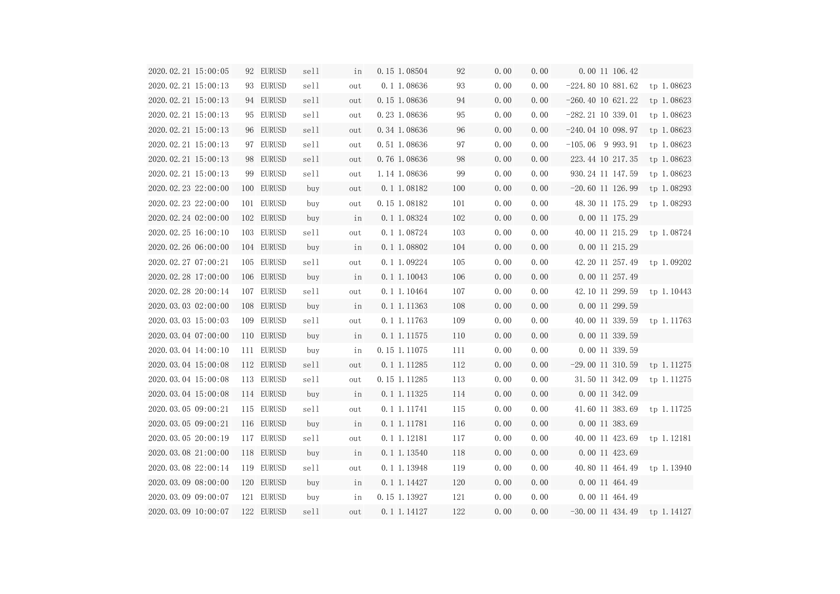| 2020.02.21 15:00:05            | 92 EURUSD  | sell | in  | 0.15 1.08504     | 92  | 0.00 | 0.00 | 0.00 11 106.42                |            |
|--------------------------------|------------|------|-----|------------------|-----|------|------|-------------------------------|------------|
| 2020.02.21 15:00:13            | 93 EURUSD  | sell | out | 0.1 1.08636      | 93  | 0.00 | 0.00 | $-224.80$ 10 881.62           | tp 1.08623 |
| 2020.02.21 15:00:13            | 94 EURUSD  | sell | out | 0.15 1.08636     | 94  | 0.00 | 0.00 | $-260.40$ 10 621.22           | tp 1.08623 |
| 2020.02.21 15:00:13            | 95 EURUSD  | sell | out | 0.23 1.08636     | 95  | 0.00 | 0.00 | $-282.21$ 10 339.01           | tp 1.08623 |
| 2020.02.21 15:00:13            | 96 EURUSD  | sell | out | 0.34 1.08636     | 96  | 0.00 | 0.00 | $-240.04$ 10 098.97           | tp 1.08623 |
| 2020.02.21 15:00:13            | 97 EURUSD  | sell | out | 0.51 1.08636     | 97  | 0.00 | 0.00 | $-105.06$ 9 993.91            | tp 1.08623 |
| 2020.02.21 15:00:13            | 98 EURUSD  | sell | out | 0.76 1.08636     | 98  | 0.00 | 0.00 | 223.44 10 217.35              | tp 1.08623 |
| 2020.02.21 15:00:13            | 99 EURUSD  | sell | out | 1.14 1.08636     | 99  | 0.00 | 0.00 | 930.24 11 147.59              | tp 1.08623 |
| 2020.02.23 22:00:00            | 100 EURUSD | buy  | out | 0.1 1.08182      | 100 | 0.00 | 0.00 | $-20.60$ 11 126.99            | tp 1.08293 |
| 2020.02.23 22:00:00            | 101 EURUSD | buy  | out | 0.15 1.08182     | 101 | 0.00 | 0.00 | 48.30 11 175.29               | tp 1.08293 |
| 2020.02.24 02:00:00            | 102 EURUSD | buy  | in  | $0.1 \ 1.08324$  | 102 | 0.00 | 0.00 | 0.00 11 175.29                |            |
| 2020.02.25 16:00:10            | 103 EURUSD | sell | out | 0.1 1.08724      | 103 | 0.00 | 0.00 | 40.00 11 215.29 tp 1.08724    |            |
| 2020.02.26 06:00:00            | 104 EURUSD | buy  | in  | $0.1 \ 1.08802$  | 104 | 0.00 | 0.00 | 0.00 11 215.29                |            |
| 2020.02.27 07:00:21            | 105 EURUSD | sell | out | 0.11.09224       | 105 | 0.00 | 0.00 | 42.20 11 257.49 tp 1.09202    |            |
| 2020.02.28 17:00:00            | 106 EURUSD | buy  | in  | $0.1 \, 1.10043$ | 106 | 0.00 | 0.00 | 0.00 11 257.49                |            |
| 2020.02.28 20:00:14            | 107 EURUSD | sell | out | 0.1 1.10464      | 107 | 0.00 | 0.00 | 42.10 11 299.59               | tp 1.10443 |
| 2020.03.03 02:00:00            | 108 EURUSD | buy  | in  | $0.1 \; 1.11363$ | 108 | 0.00 | 0.00 | 0.00 11 299.59                |            |
| 2020.03.03 15:00:03            | 109 EURUSD | sell | out | 0.1 1.11763      | 109 | 0.00 | 0.00 | 40.00 11 339.59 tp 1.11763    |            |
| 2020.03.04 07:00:00            | 110 EURUSD | buy  | in  | $0.1 \, 1.11575$ | 110 | 0.00 | 0.00 | 0.00 11 339.59                |            |
| 2020.03.04 14:00:10            | 111 EURUSD | buy  | in  | 0.15 1.11075     | 111 | 0.00 | 0.00 | 0.00 11 339.59                |            |
| 2020.03.04 15:00:08            | 112 EURUSD | sell | out | 0.1 1.11285      | 112 | 0.00 | 0.00 | $-29.00$ 11 310.59 tp 1.11275 |            |
| 2020.03.04 15:00:08 113 EURUSD |            | sell | out | 0.15 1.11285     | 113 | 0.00 | 0.00 | 31.50 11 342.09 tp 1.11275    |            |
| 2020.03.04 15:00:08            | 114 EURUSD | buy  | in  | 0.1 1.11325      | 114 | 0.00 | 0.00 | 0.00 11 342.09                |            |
| 2020.03.05 09:00:21            | 115 EURUSD | sell | out | 0.1 1.11741      | 115 | 0.00 | 0.00 | 41.60 11 383.69               | tp 1.11725 |
| 2020.03.05 09:00:21            | 116 EURUSD | buy  | in  | 0.1 1.11781      | 116 | 0.00 | 0.00 | 0.00 11 383.69                |            |
| 2020.03.05 20:00:19            | 117 EURUSD | sell | out | 0.1 1.12181      | 117 | 0.00 | 0.00 | 40.00 11 423.69               | tp 1.12181 |
| 2020.03.08 21:00:00            | 118 EURUSD | buy  | in  | 0.1 1.13540      | 118 | 0.00 | 0.00 | 0.00 11 423.69                |            |
| 2020.03.08 22:00:14            | 119 EURUSD | sell | out | 0.1 1.13948      | 119 | 0.00 | 0.00 | 40.80 11 464.49               | tp 1.13940 |
| 2020.03.09 08:00:00            | 120 EURUSD | buy  | in  | $0.1 \ 1.14427$  | 120 | 0.00 | 0.00 | 0.00 11 464.49                |            |
| 2020.03.09 09:00:07            | 121 EURUSD | buy  | in  | 0.15 1.13927     | 121 | 0.00 | 0.00 | 0.00 11 464.49                |            |
| 2020.03.09 10:00:07            | 122 EURUSD | sell | out | 0.1 1.14127      | 122 | 0.00 | 0.00 | $-30.00$ 11 434.49 tp 1.14127 |            |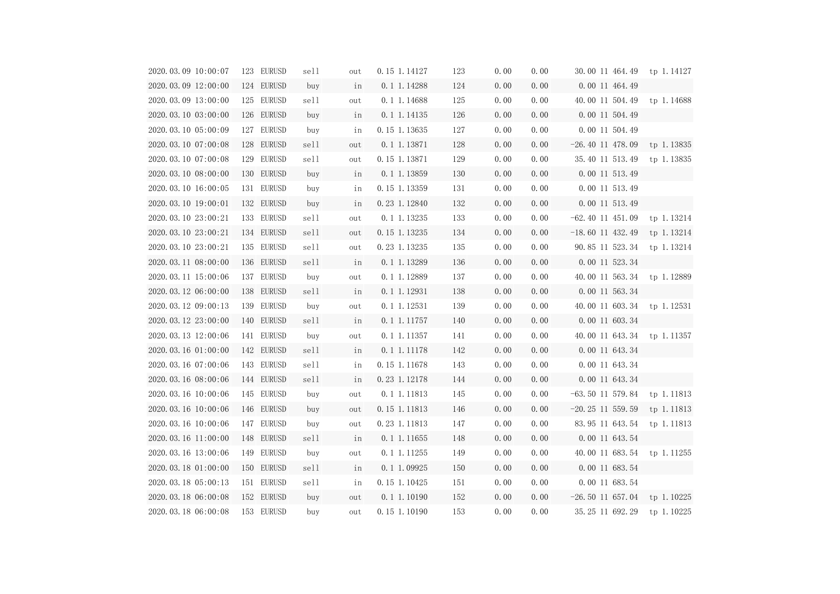| 2020.03.09 10:00:07 | 123 EURUSD | sell | out | 0.15 1.14127     | 123 | 0.00 | 0.00 | 30.00 11 464.49               | tp 1.14127 |
|---------------------|------------|------|-----|------------------|-----|------|------|-------------------------------|------------|
| 2020.03.09 12:00:00 | 124 EURUSD | buy  | in  | 0.1 1.14288      | 124 | 0.00 | 0.00 | 0.00 11 464.49                |            |
| 2020.03.09 13:00:00 | 125 EURUSD | sell | out | 0.1 1.14688      | 125 | 0.00 | 0.00 | 40.00 11 504.49 tp 1.14688    |            |
| 2020.03.10 03:00:00 | 126 EURUSD | buy  | in  | 0.1 1.14135      | 126 | 0.00 | 0.00 | 0.00 11 504.49                |            |
| 2020.03.10 05:00:09 | 127 EURUSD | buy  | in  | 0.15 1.13635     | 127 | 0.00 | 0.00 | 0.00 11 504.49                |            |
| 2020.03.10 07:00:08 | 128 EURUSD | sell | out | 0.1 1.13871      | 128 | 0.00 | 0.00 | $-26.40$ 11 478.09 tp 1.13835 |            |
| 2020.03.10 07:00:08 | 129 EURUSD | sell | out | 0.15 1.13871     | 129 | 0.00 | 0.00 | 35.40 11 513.49               | tp 1.13835 |
| 2020.03.10 08:00:00 | 130 EURUSD | buy  | in  | 0.1 1.13859      | 130 | 0.00 | 0.00 | 0.00 11 513.49                |            |
| 2020.03.10 16:00:05 | 131 EURUSD | buy  | in  | 0.15 1.13359     | 131 | 0.00 | 0.00 | 0.00 11 513.49                |            |
| 2020.03.10 19:00:01 | 132 EURUSD | buy  | in  | 0.23 1.12840     | 132 | 0.00 | 0.00 | 0.00 11 513.49                |            |
| 2020.03.10 23:00:21 | 133 EURUSD | sell | out | 0.1 1.13235      | 133 | 0.00 | 0.00 | $-62.40$ 11 451.09            | tp 1.13214 |
| 2020.03.10 23:00:21 | 134 EURUSD | sell | out | 0.15 1.13235     | 134 | 0.00 | 0.00 | $-18.60$ 11 432.49 tp 1.13214 |            |
| 2020.03.10 23:00:21 | 135 EURUSD | sell | out | 0.23 1.13235     | 135 | 0.00 | 0.00 | 90.85 11 523.34 tp 1.13214    |            |
| 2020.03.11 08:00:00 | 136 EURUSD | sell | in  | $0.1 \ 1.13289$  | 136 | 0.00 | 0.00 | 0.00 11 523.34                |            |
| 2020.03.11 15:00:06 | 137 EURUSD | buy  | out | 0.1 1.12889      | 137 | 0.00 | 0.00 | 40.00 11 563.34 tp 1.12889    |            |
| 2020.03.12 06:00:00 | 138 EURUSD | sell | in  | $0.1 \ 1.12931$  | 138 | 0.00 | 0.00 | 0.00 11 563.34                |            |
| 2020.03.12 09:00:13 | 139 EURUSD | buy  | out | $0.1$ 1.12531    | 139 | 0.00 | 0.00 | 40.00 11 603.34 tp 1.12531    |            |
| 2020.03.12 23:00:00 | 140 EURUSD | sell | in  | $0.1 \, 1.11757$ | 140 | 0.00 | 0.00 | 0.00 11 603.34                |            |
| 2020.03.13 12:00:06 | 141 EURUSD | buy  | out | 0.1 1.11357      | 141 | 0.00 | 0.00 | 40.00 11 643.34 tp 1.11357    |            |
| 2020.03.16 01:00:00 | 142 EURUSD | sell | in  | $0.1 \ 1.11178$  | 142 | 0.00 | 0.00 | 0.00 11 643.34                |            |
| 2020.03.16 07:00:06 | 143 EURUSD | sell | in  | 0.15 1.11678     | 143 | 0.00 | 0.00 | 0.00 11 643.34                |            |
| 2020.03.16 08:00:06 | 144 EURUSD | sell | in  | 0.23 1.12178     | 144 | 0.00 | 0.00 | 0.00 11 643.34                |            |
| 2020.03.16 10:00:06 | 145 EURUSD | buy  | out | 0.1 1.11813      | 145 | 0.00 | 0.00 | $-63.50$ 11 579.84            | tp 1.11813 |
| 2020.03.16 10:00:06 | 146 EURUSD | buy  | out | 0.15 1.11813     | 146 | 0.00 | 0.00 | $-20.25$ 11 559.59            | tp 1.11813 |
| 2020.03.16 10:00:06 | 147 EURUSD | buy  | out | 0.23 1.11813     | 147 | 0.00 | 0.00 | 83.95 11 643.54               | tp 1.11813 |
| 2020.03.16 11:00:00 | 148 EURUSD | sell | in  | $0.1 \ 1.11655$  | 148 | 0.00 | 0.00 | 0.00 11 643.54                |            |
| 2020.03.16 13:00:06 | 149 EURUSD | buy  | out | $0.1$ 1.11255    | 149 | 0.00 | 0.00 | 40.00 11 683.54               | tp 1.11255 |
| 2020.03.18 01:00:00 | 150 EURUSD | sell | in  | $0.1 \ 1.09925$  | 150 | 0.00 | 0.00 | 0.00 11 683.54                |            |
| 2020.03.18 05:00:13 | 151 EURUSD | sell | in  | 0.15 1.10425     | 151 | 0.00 | 0.00 | 0.00 11 683.54                |            |
| 2020.03.18 06:00:08 | 152 EURUSD | buy  | out | $0.1 \ 1.10190$  | 152 | 0.00 | 0.00 | $-26.50$ 11 657.04            | tp 1.10225 |
| 2020.03.18 06:00:08 | 153 EURUSD | buy  | out | 0.15 1.10190     | 153 | 0.00 | 0.00 | 35.25 11 692.29               | tp 1.10225 |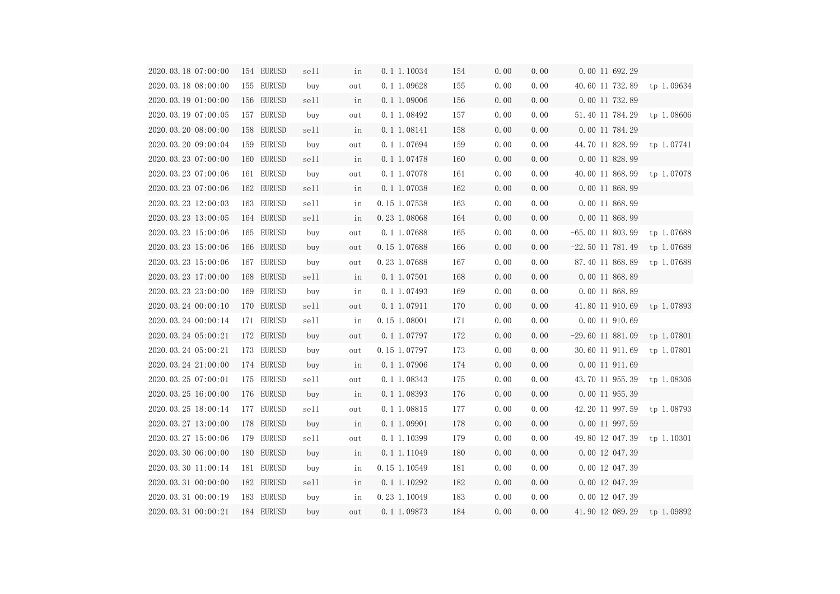| 2020.03.18 07:00:00            | 154 EURUSD | sell | in  | $0.1$ 1.10034   | 154 | 0.00 | 0.00 | 0.00 11 692.29             |            |
|--------------------------------|------------|------|-----|-----------------|-----|------|------|----------------------------|------------|
| 2020.03.18 08:00:00            | 155 EURUSD | buy  | out | 0.1 1.09628     | 155 | 0.00 | 0.00 | 40.60 11 732.89 tp 1.09634 |            |
| 2020.03.19 01:00:00            | 156 EURUSD | sell | in  | $0.1\ 1.09006$  | 156 | 0.00 | 0.00 | 0.00 11 732.89             |            |
| 2020.03.19 07:00:05            | 157 EURUSD | buy  | out | 0.1 1.08492     | 157 | 0.00 | 0.00 | 51.40 11 784.29 tp 1.08606 |            |
| 2020.03.20 08:00:00            | 158 EURUSD | sell | in  | $0.1 \ 1.08141$ | 158 | 0.00 | 0.00 | 0.00 11 784.29             |            |
| 2020.03.20 09:00:04            | 159 EURUSD | buy  | out | 0.1 1.07694     | 159 | 0.00 | 0.00 | 44.70 11 828.99 tp 1.07741 |            |
| 2020.03.23 07:00:00            | 160 EURUSD | sell | in  | $0.1 \ 1.07478$ | 160 | 0.00 | 0.00 | 0.00 11 828.99             |            |
| 2020.03.23 07:00:06            | 161 EURUSD | buy  | out | 0.1 1.07078     | 161 | 0.00 | 0.00 | 40.00 11 868.99 tp 1.07078 |            |
| 2020.03.23 07:00:06            | 162 EURUSD | sell | in  | 0.1 1.07038     | 162 | 0.00 | 0.00 | 0.00 11 868.99             |            |
| 2020.03.23 12:00:03            | 163 EURUSD | sell | in  | 0.15 1.07538    | 163 | 0.00 | 0.00 | 0.00 11 868.99             |            |
| 2020.03.23 13:00:05            | 164 EURUSD | sell | in  | 0.23 1.08068    | 164 | 0.00 | 0.00 | 0.00 11 868.99             |            |
| 2020.03.23 15:00:06            | 165 EURUSD | buy  | out | 0.1 1.07688     | 165 | 0.00 | 0.00 | $-65.00$ 11 803.99         | tp 1.07688 |
| 2020.03.23 15:00:06            | 166 EURUSD | buy  | out | 0.15 1.07688    | 166 | 0.00 | 0.00 | $-22.50$ 11 781.49         | tp 1.07688 |
| 2020.03.23 15:00:06            | 167 EURUSD | buy  | out | 0.23 1.07688    | 167 | 0.00 | 0.00 | 87.40 11 868.89            | tp 1.07688 |
| 2020. 03. 23 17:00:00          | 168 EURUSD | sell | in  | $0.1 \ 1.07501$ | 168 | 0.00 | 0.00 | 0.00 11 868.89             |            |
| 2020.03.23 23:00:00            | 169 EURUSD | buy  | in  | 0.1 1.07493     | 169 | 0.00 | 0.00 | 0.00 11 868.89             |            |
| 2020.03.24 00:00:10            | 170 EURUSD | sell | out | $0.1 \ 1.07911$ | 170 | 0.00 | 0.00 | 41.80 11 910.69 tp 1.07893 |            |
| 2020.03.24 00:00:14            | 171 EURUSD | sell | in  | $0.15$ 1.08001  | 171 | 0.00 | 0.00 | 0.00 11 910.69             |            |
| 2020.03.24 05:00:21            | 172 EURUSD | buy  | out | 0.1 1.07797     | 172 | 0.00 | 0.00 | $-29.60$ 11 881.09         | tp 1.07801 |
| 2020.03.24 05:00:21            | 173 EURUSD | buy  | out | 0.15 1.07797    | 173 | 0.00 | 0.00 | 30.60 11 911.69 tp 1.07801 |            |
| 2020. 03. 24 21:00:00          | 174 EURUSD | buy  | in  | $0.1 \ 1.07906$ | 174 | 0.00 | 0.00 | 0.00 11 911.69             |            |
| 2020.03.25 07:00:01 175 EURUSD |            | sell | out | 0.1 1.08343     | 175 | 0.00 | 0.00 | 43.70 11 955.39 tp 1.08306 |            |
| 2020.03.25 16:00:00            | 176 EURUSD | buy  | in  | $0.1 \ 1.08393$ | 176 | 0.00 | 0.00 | 0.00 11 955.39             |            |
| 2020.03.25 18:00:14            | 177 EURUSD | sell | out | 0.1 1.08815     | 177 | 0.00 | 0.00 | 42.20 11 997.59            | tp 1.08793 |
| 2020.03.27 13:00:00            | 178 EURUSD | buy  | in  | $0.1 \ 1.09901$ | 178 | 0.00 | 0.00 | 0.00 11 997.59             |            |
| 2020.03.27 15:00:06            | 179 EURUSD | sell | out | $0.1$ 1.10399   | 179 | 0.00 | 0.00 | 49.80 12 047.39            | tp 1.10301 |
| 2020.03.30 06:00:00            | 180 EURUSD | buy  | in  | $0.1 \ 1.11049$ | 180 | 0.00 | 0.00 | 0.00 12 047.39             |            |
| 2020.03.30 11:00:14            | 181 EURUSD | buy  | in  | 0.15 1.10549    | 181 | 0.00 | 0.00 | 0.00 12 047.39             |            |
| 2020.03.31 00:00:00            | 182 EURUSD | sell | in  | $0.1 \ 1.10292$ | 182 | 0.00 | 0.00 | 0.00 12 047.39             |            |
| 2020.03.31 00:00:19            | 183 EURUSD | buy  | in  | 0.23 1.10049    | 183 | 0.00 | 0.00 | 0.00 12 047.39             |            |
| 2020.03.31 00:00:21            | 184 EURUSD | buy  | out | 0.1 1.09873     | 184 | 0.00 | 0.00 | 41.90 12 089.29            | tp 1.09892 |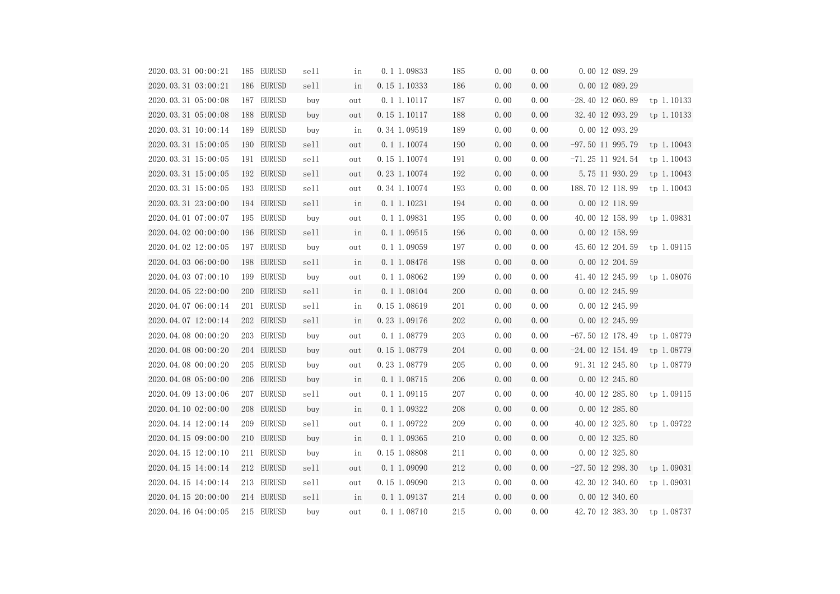| 2020.03.31 00:00:21 | 185 EURUSD | sell | in  | 0.1 1.09833     | 185 | 0.00 | 0.00 | 0.00 12 089.29             |            |
|---------------------|------------|------|-----|-----------------|-----|------|------|----------------------------|------------|
| 2020.03.31 03:00:21 | 186 EURUSD | sell | in  | 0.15 1.10333    | 186 | 0.00 | 0.00 | 0.00 12 089.29             |            |
| 2020.03.31 05:00:08 | 187 EURUSD | buy  | out | 0.1 1.10117     | 187 | 0.00 | 0.00 | $-28.40$ 12 060.89         | tp 1.10133 |
| 2020.03.31 05:00:08 | 188 EURUSD | buy  | out | 0.15 1.10117    | 188 | 0.00 | 0.00 | 32.40 12 093.29            | tp 1.10133 |
| 2020.03.31 10:00:14 | 189 EURUSD | buy  | in  | 0.34 1.09519    | 189 | 0.00 | 0.00 | 0.00 12 093.29             |            |
| 2020.03.31 15:00:05 | 190 EURUSD | sell | out | 0.1 1.10074     | 190 | 0.00 | 0.00 | $-97.50$ 11 995.79         | tp 1.10043 |
| 2020.03.31 15:00:05 | 191 EURUSD | sell | out | 0.15 1.10074    | 191 | 0.00 | 0.00 | $-71.25$ 11 924.54         | tp 1.10043 |
| 2020.03.31 15:00:05 | 192 EURUSD | sell | out | 0.23 1.10074    | 192 | 0.00 | 0.00 | 5.75 11 930.29             | tp 1.10043 |
| 2020.03.31 15:00:05 | 193 EURUSD | sell | out | 0.34 1.10074    | 193 | 0.00 | 0.00 | 188.70 12 118.99           | tp 1.10043 |
| 2020.03.31 23:00:00 | 194 EURUSD | sell | in  | $0.1\ 1.10231$  | 194 | 0.00 | 0.00 | 0.00 12 118.99             |            |
| 2020.04.01 07:00:07 | 195 EURUSD | buy  | out | 0.1 1.09831     | 195 | 0.00 | 0.00 | 40.00 12 158.99 tp 1.09831 |            |
| 2020.04.02 00:00:00 | 196 EURUSD | sell | in  | $0.1 \ 1.09515$ | 196 | 0.00 | 0.00 | 0.00 12 158.99             |            |
| 2020.04.02 12:00:05 | 197 EURUSD | buy  | out | 0.1 1.09059     | 197 | 0.00 | 0.00 | 45.60 12 204.59 tp 1.09115 |            |
| 2020.04.03 06:00:00 | 198 EURUSD | sell | in  | $0.1 \ 1.08476$ | 198 | 0.00 | 0.00 | 0.00 12 204.59             |            |
| 2020.04.03 07:00:10 | 199 EURUSD | buy  | out | 0.1 1.08062     | 199 | 0.00 | 0.00 | 41.40 12 245.99 tp 1.08076 |            |
| 2020.04.05 22:00:00 | 200 EURUSD | sell | in  | $0.1 \ 1.08104$ | 200 | 0.00 | 0.00 | 0.00 12 245.99             |            |
| 2020.04.07 06:00:14 | 201 EURUSD | sell | in  | 0.15 1.08619    | 201 | 0.00 | 0.00 | 0.00 12 245.99             |            |
| 2020.04.07 12:00:14 | 202 EURUSD | sell | in  | 0.23 1.09176    | 202 | 0.00 | 0.00 | 0.00 12 245.99             |            |
| 2020.04.08 00:00:20 | 203 EURUSD | buy  | out | 0.1 1.08779     | 203 | 0.00 | 0.00 | $-67.50$ 12 178.49         | tp 1.08779 |
| 2020.04.08 00:00:20 | 204 EURUSD | buy  | out | 0.15 1.08779    | 204 | 0.00 | 0.00 | $-24.00$ 12 154.49         | tp 1.08779 |
| 2020.04.08 00:00:20 | 205 EURUSD | buy  | out | 0.23 1.08779    | 205 | 0.00 | 0.00 | 91.31 12 245.80            | tp 1.08779 |
| 2020.04.08 05:00:00 | 206 EURUSD | buy  | in  | 0.1 1.08715     | 206 | 0.00 | 0.00 | 0.00 12 245.80             |            |
| 2020.04.09 13:00:06 | 207 EURUSD | sell | out | 0.11.09115      | 207 | 0.00 | 0.00 | 40.00 12 285.80            | tp 1.09115 |
| 2020.04.10 02:00:00 | 208 EURUSD | buy  | in  | 0.1 1.09322     | 208 | 0.00 | 0.00 | 0.00 12 285.80             |            |
| 2020.04.14 12:00:14 | 209 EURUSD | sell | out | 0.1 1.09722     | 209 | 0.00 | 0.00 | 40.00 12 325.80            | tp 1.09722 |
| 2020.04.15 09:00:00 | 210 EURUSD | buy  | in  | 0.1 1.09365     | 210 | 0.00 | 0.00 | 0.00 12 325.80             |            |
| 2020.04.15 12:00:10 | 211 EURUSD | buy  | in  | 0.15 1.08808    | 211 | 0.00 | 0.00 | 0.00 12 325.80             |            |
| 2020.04.15 14:00:14 | 212 EURUSD | sell | out | 0.1 1.09090     | 212 | 0.00 | 0.00 | $-27.50$ 12 298.30         | tp 1.09031 |
| 2020.04.15 14:00:14 | 213 EURUSD | sell | out | 0.15 1.09090    | 213 | 0.00 | 0.00 | 42.30 12 340.60            | tp 1.09031 |
| 2020.04.15 20:00:00 | 214 EURUSD | sell | in  | $0.1\ 1.09137$  | 214 | 0.00 | 0.00 | 0.00 12 340.60             |            |
| 2020.04.16 04:00:05 | 215 EURUSD | buy  | out | 0.1 1.08710     | 215 | 0.00 | 0.00 | 42.70 12 383.30            | tp 1.08737 |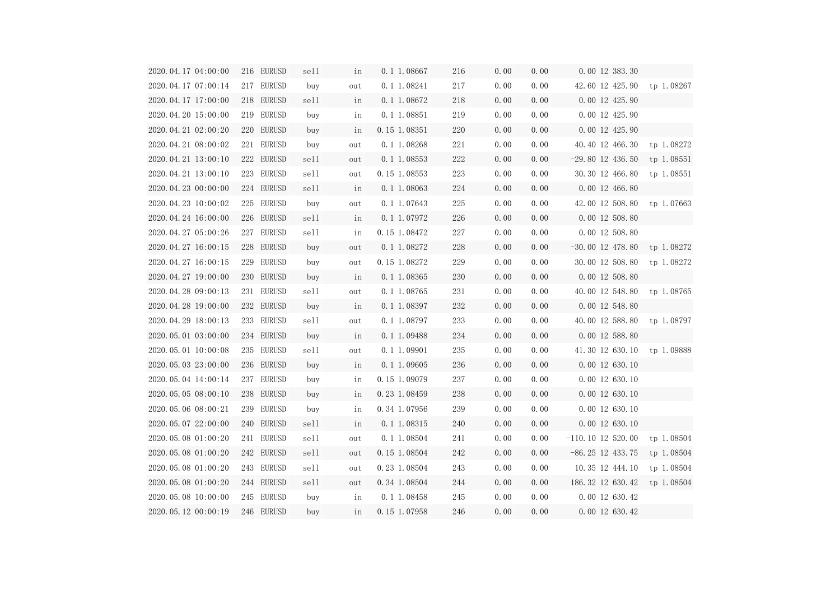| 2020.04.17 04:00:00 | 216 EURUSD | sell | in  | 0.1 1.08667     | 216 | 0.00 | 0.00 | 0.00 12 383.30                |            |
|---------------------|------------|------|-----|-----------------|-----|------|------|-------------------------------|------------|
| 2020.04.17 07:00:14 | 217 EURUSD | buy  | out | $0.1$ 1.08241   | 217 | 0.00 | 0.00 | 42.60 12 425.90 tp 1.08267    |            |
| 2020.04.17 17:00:00 | 218 EURUSD | sell | in  | $0.1\ 1.08672$  | 218 | 0.00 | 0.00 | 0.00 12 425.90                |            |
| 2020.04.20 15:00:00 | 219 EURUSD | buy  | in  | 0.1 1.08851     | 219 | 0.00 | 0.00 | 0.00 12 425.90                |            |
| 2020.04.21 02:00:20 | 220 EURUSD | buy  | in  | 0.15 1.08351    | 220 | 0.00 | 0.00 | 0.00 12 425.90                |            |
| 2020.04.21 08:00:02 | 221 EURUSD | buy  | out | 0.1 1.08268     | 221 | 0.00 | 0.00 | 40.40 12 466.30 tp 1.08272    |            |
| 2020.04.21 13:00:10 | 222 EURUSD | sell | out | $0.1 \ 1.08553$ | 222 | 0.00 | 0.00 | $-29.80$ 12 436.50            | tp 1.08551 |
| 2020.04.21 13:00:10 | 223 EURUSD | sell | out | 0.15 1.08553    | 223 | 0.00 | 0.00 | 30.30 12 466.80 tp 1.08551    |            |
| 2020.04.23 00:00:00 | 224 EURUSD | sell | in  | $0.1 \ 1.08063$ | 224 | 0.00 | 0.00 | 0.00 12 466.80                |            |
| 2020.04.23 10:00:02 | 225 EURUSD | buy  | out | 0.1 1.07643     | 225 | 0.00 | 0.00 | 42.00 12 508.80 tp 1.07663    |            |
| 2020.04.24 16:00:00 | 226 EURUSD | sell | in  | $0.1 \ 1.07972$ | 226 | 0.00 | 0.00 | 0.00 12 508.80                |            |
| 2020.04.27 05:00:26 | 227 EURUSD | sell | in  | 0.15 1.08472    | 227 | 0.00 | 0.00 | 0.00 12 508.80                |            |
| 2020.04.27 16:00:15 | 228 EURUSD | buy  | out | 0.1 1.08272     | 228 | 0.00 | 0.00 | $-30.00$ 12 478.80 tp 1.08272 |            |
| 2020.04.27 16:00:15 | 229 EURUSD | buy  | out | 0.15 1.08272    | 229 | 0.00 | 0.00 | 30.00 12 508.80 tp 1.08272    |            |
| 2020.04.27 19:00:00 | 230 EURUSD | buy  | in  | $0.1 \ 1.08365$ | 230 | 0.00 | 0.00 | 0.00 12 508.80                |            |
| 2020.04.28 09:00:13 | 231 EURUSD | sell | out | 0.1 1.08765     | 231 | 0.00 | 0.00 | 40.00 12 548.80 tp 1.08765    |            |
| 2020.04.28 19:00:00 | 232 EURUSD | buy  | in  | $0.1 \ 1.08397$ | 232 | 0.00 | 0.00 | 0.00 12 548.80                |            |
| 2020.04.29 18:00:13 | 233 EURUSD | sell | out | 0.1 1.08797     | 233 | 0.00 | 0.00 | 40.00 12 588.80 tp 1.08797    |            |
| 2020.05.01 03:00:00 | 234 EURUSD | buy  | in  | $0.1 \ 1.09488$ | 234 | 0.00 | 0.00 | 0.00 12 588.80                |            |
| 2020.05.01 10:00:08 | 235 EURUSD | sell | out | 0.1 1.09901     | 235 | 0.00 | 0.00 | 41.30 12 630.10 tp 1.09888    |            |
| 2020.05.03 23:00:00 | 236 EURUSD | buy  | in  | 0.1 1.09605     | 236 | 0.00 | 0.00 | 0.00 12 630.10                |            |
| 2020.05.04 14:00:14 | 237 EURUSD | buy  | in  | 0.15 1.09079    | 237 | 0.00 | 0.00 | $0.00$ 12 630.10              |            |
| 2020.05.05 08:00:10 | 238 EURUSD | buy  | in  | 0.23 1.08459    | 238 | 0.00 | 0.00 | 0.00 12 630.10                |            |
| 2020.05.06 08:00:21 | 239 EURUSD | buy  | in  | 0.34 1.07956    | 239 | 0.00 | 0.00 | 0.00 12 630.10                |            |
| 2020.05.07 22:00:00 | 240 EURUSD | sell | in  | 0.1 1.08315     | 240 | 0.00 | 0.00 | 0.00 12 630.10                |            |
| 2020.05.08 01:00:20 | 241 EURUSD | sell | out | $0.1$ 1.08504   | 241 | 0.00 | 0.00 | $-110.10$ 12 520.00           | tp 1.08504 |
| 2020.05.08 01:00:20 | 242 EURUSD | sell | out | 0.15 1.08504    | 242 | 0.00 | 0.00 | $-86.25$ 12 433.75            | tp 1.08504 |
| 2020.05.08 01:00:20 | 243 EURUSD | sell | out | 0.23 1.08504    | 243 | 0.00 | 0.00 | 10.35 12 444.10               | tp 1.08504 |
| 2020.05.08 01:00:20 | 244 EURUSD | sell | out | 0.34 1.08504    | 244 | 0.00 | 0.00 | 186.32 12 630.42              | tp 1.08504 |
| 2020.05.08 10:00:00 | 245 EURUSD | buy  | in  | 0.1 1.08458     | 245 | 0.00 | 0.00 | 0.00 12 630.42                |            |
| 2020.05.12 00:00:19 | 246 EURUSD | buy  | in  | 0.15 1.07958    | 246 | 0.00 | 0.00 | 0.00 12 630.42                |            |

| )              |            |
|----------------|------------|
| )              | tp 1.08267 |
| )              |            |
| )              |            |
| )              |            |
| )              | tp 1.08272 |
| )              | tp 1.08551 |
| )              | tp 1.08551 |
| )              |            |
| )              | tp 1.07663 |
| )              |            |
| )              |            |
| )              | tp 1.08272 |
| )              | tp 1.08272 |
| $\mathbf{)}$   |            |
| )              | tp 1.08765 |
| $\mathbf{)}$   |            |
| )              | tp 1.08797 |
| $\overline{)}$ |            |
| )              | tp 1.09888 |
| $\mathbf{)}$   |            |
| )              |            |
| )              |            |
| )              |            |
| )              |            |
| )              | tp 1.08504 |
| ;              | tp 1.08504 |
| )              | tp 1.08504 |
| $\frac{1}{2}$  | tp 1.08504 |
| )<br>,         |            |
| )<br>,         |            |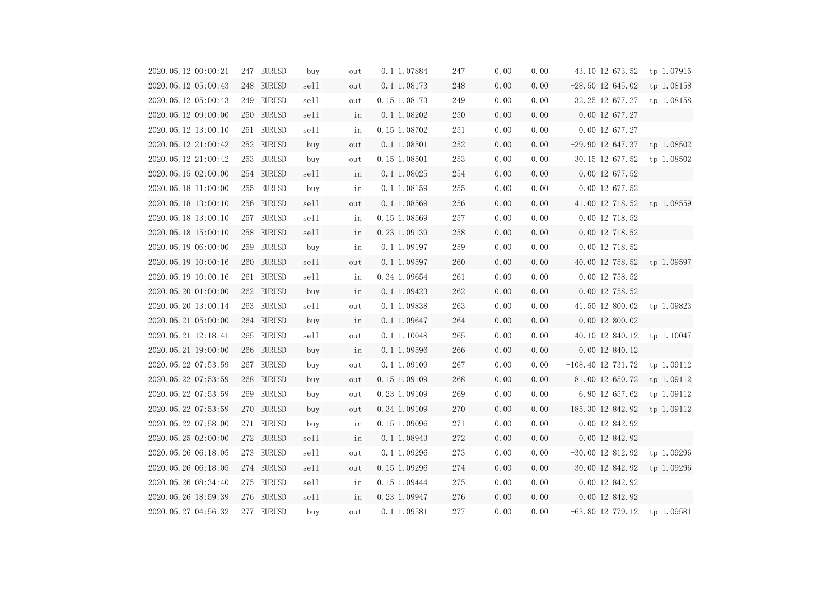| 2020.05.12 00:00:21 | 247 EURUSD | buy  | out | 0.1 1.07884      | 247 | 0.00 | 0.00 | 43.10 12 673.52 tp 1.07915     |            |
|---------------------|------------|------|-----|------------------|-----|------|------|--------------------------------|------------|
| 2020.05.12 05:00:43 | 248 EURUSD | sell | out | $0.1 \ 1.08173$  | 248 | 0.00 | 0.00 | $-28.50$ 12 645.02             | tp 1.08158 |
| 2020.05.12 05:00:43 | 249 EURUSD | sell | out | 0.15 1.08173     | 249 | 0.00 | 0.00 | 32.25 12 677.27 tp 1.08158     |            |
| 2020.05.12 09:00:00 | 250 EURUSD | sell | in  | 0.1 1.08202      | 250 | 0.00 | 0.00 | 0.00 12 677.27                 |            |
| 2020.05.12 13:00:10 | 251 EURUSD | sell | in  | 0.15 1.08702     | 251 | 0.00 | 0.00 | 0.00 12 677.27                 |            |
| 2020.05.12 21:00:42 | 252 EURUSD | buy  | out | $0.1$ 1.08501    | 252 | 0.00 | 0.00 | $-29.90$ 12 647.37 tp 1.08502  |            |
| 2020.05.12 21:00:42 | 253 EURUSD | buy  | out | 0.15 1.08501     | 253 | 0.00 | 0.00 | 30.15 12 677.52                | tp 1.08502 |
| 2020.05.15 02:00:00 | 254 EURUSD | sell | in  | 0.1 1.08025      | 254 | 0.00 | 0.00 | 0.00 12 677.52                 |            |
| 2020.05.18 11:00:00 | 255 EURUSD | buy  | in  | 0.1 1.08159      | 255 | 0.00 | 0.00 | 0.00 12 677.52                 |            |
| 2020.05.18 13:00:10 | 256 EURUSD | sell | out | $0.1 \ 1.08569$  | 256 | 0.00 | 0.00 | 41.00 12 718.52 tp 1.08559     |            |
| 2020.05.18 13:00:10 | 257 EURUSD | sell | in  | 0.15 1.08569     | 257 | 0.00 | 0.00 | 0.00 12 718.52                 |            |
| 2020.05.18 15:00:10 | 258 EURUSD | sell | in  | 0.23 1.09139     | 258 | 0.00 | 0.00 | 0.00 12 718.52                 |            |
| 2020.05.19 06:00:00 | 259 EURUSD | buy  | in  | 0.1 1.09197      | 259 | 0.00 | 0.00 | 0.00 12 718.52                 |            |
| 2020.05.19 10:00:16 | 260 EURUSD | sell | out | $0.1 \ 1.09597$  | 260 | 0.00 | 0.00 | 40.00 12 758.52 tp 1.09597     |            |
| 2020.05.19 10:00:16 | 261 EURUSD | sell | in  | 0.34 1.09654     | 261 | 0.00 | 0.00 | 0.00 12 758.52                 |            |
| 2020.05.20 01:00:00 | 262 EURUSD | buy  | in  | $0.1 \ 1.09423$  | 262 | 0.00 | 0.00 | 0.00 12 758.52                 |            |
| 2020.05.20 13:00:14 | 263 EURUSD | sell | out | 0.1 1.09838      | 263 | 0.00 | 0.00 | 41.50 12 800.02 tp 1.09823     |            |
| 2020.05.21 05:00:00 | 264 EURUSD | buy  | in  | $0.1 \, 1.09647$ | 264 | 0.00 | 0.00 | 0.00 12 800.02                 |            |
| 2020.05.21 12:18:41 | 265 EURUSD | sell | out | 0.1 1.10048      | 265 | 0.00 | 0.00 | 40.10 12 840.12 tp 1.10047     |            |
| 2020.05.21 19:00:00 | 266 EURUSD | buy  | in  | $0.1 \ 1.09596$  | 266 | 0.00 | 0.00 | 0.00 12 840.12                 |            |
| 2020.05.22 07:53:59 | 267 EURUSD | buy  | out | 0.1 1.09109      | 267 | 0.00 | 0.00 | $-108.40$ 12 731.72 tp 1.09112 |            |
| 2020.05.22 07:53:59 | 268 EURUSD | buy  | out | $0.15$ 1.09109   | 268 | 0.00 | 0.00 | $-81.00$ 12 650.72 tp 1.09112  |            |
| 2020.05.22 07:53:59 | 269 EURUSD | buy  | out | $0.23$ 1.09109   | 269 | 0.00 | 0.00 | 6.90 12 657.62                 | tp 1.09112 |
| 2020.05.22 07:53:59 | 270 EURUSD | buy  | out | 0.34 1.09109     | 270 | 0.00 | 0.00 | 185.30 12 842.92               | tp 1.09112 |
| 2020.05.22 07:58:00 | 271 EURUSD | buy  | in  | 0.15 1.09096     | 271 | 0.00 | 0.00 | 0.00 12 842.92                 |            |
| 2020.05.25 02:00:00 | 272 EURUSD | sell | in  | $0.1 \ 1.08943$  | 272 | 0.00 | 0.00 | 0.00 12 842.92                 |            |
| 2020.05.26 06:18:05 | 273 EURUSD | sell | out | 0.1 1.09296      | 273 | 0.00 | 0.00 | $-30.00$ 12 812.92             | tp 1.09296 |
| 2020.05.26 06:18:05 | 274 EURUSD | sell | out | 0.15 1.09296     | 274 | 0.00 | 0.00 | 30.00 12 842.92                | tp 1.09296 |
| 2020.05.26 08:34:40 | 275 EURUSD | sell | in  | 0.15 1.09444     | 275 | 0.00 | 0.00 | 0.00 12 842.92                 |            |
| 2020.05.26 18:59:39 | 276 EURUSD | sell | in  | 0.23 1.09947     | 276 | 0.00 | 0.00 | 0.00 12 842.92                 |            |
| 2020.05.27 04:56:32 | 277 EURUSD | buy  | out | 0.1 1.09581      | 277 | 0.00 | 0.00 | $-63.80$ 12 779.12             | tp 1.09581 |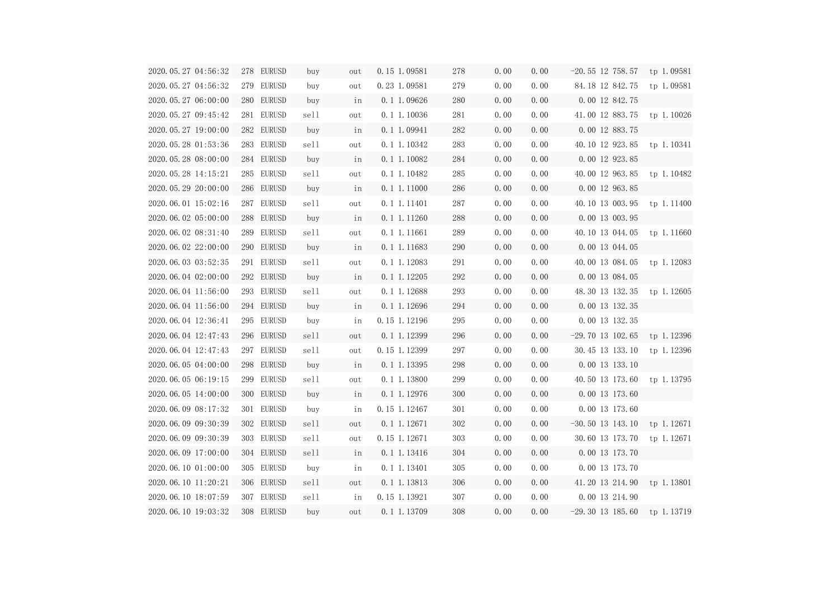| 2020.05.27 04:56:32            | 278 EURUSD | buy  | out | 0.15 1.09581    | 278 | 0.00 | 0.00 | $-20.55$ 12 758.57 tp 1.09581 |  |
|--------------------------------|------------|------|-----|-----------------|-----|------|------|-------------------------------|--|
| 2020.05.27 04:56:32            | 279 EURUSD | buy  | out | 0.23 1.09581    | 279 | 0.00 | 0.00 | 84.18 12 842.75 tp 1.09581    |  |
| 2020.05.27 06:00:00            | 280 EURUSD | buy  | in  | 0.1 1.09626     | 280 | 0.00 | 0.00 | 0.00 12 842.75                |  |
| 2020.05.27 09:45:42            | 281 EURUSD | sell | out | 0.1 1.10036     | 281 | 0.00 | 0.00 | 41.00 12 883.75 tp 1.10026    |  |
| 2020.05.27 19:00:00            | 282 EURUSD | buy  | in  | 0.1 1.09941     | 282 | 0.00 | 0.00 | 0.00 12 883.75                |  |
| 2020.05.28 01:53:36            | 283 EURUSD | sell | out | 0.1 1.10342     | 283 | 0.00 | 0.00 | 40.10 12 923.85 tp 1.10341    |  |
| 2020.05.28 08:00:00            | 284 EURUSD | buy  | in  | 0.1 1.10082     | 284 | 0.00 | 0.00 | 0.00 12 923.85                |  |
| 2020.05.28 14:15:21            | 285 EURUSD | sell | out | 0.1 1.10482     | 285 | 0.00 | 0.00 | 40.00 12 963.85 tp 1.10482    |  |
| 2020.05.29 20:00:00            | 286 EURUSD | buy  | in  | 0.1 1.11000     | 286 | 0.00 | 0.00 | 0.00 12 963.85                |  |
| 2020.06.01 15:02:16            | 287 EURUSD | sell | out | 0.1 1.11401     | 287 | 0.00 | 0.00 | 40.10 13 003.95 tp 1.11400    |  |
| 2020.06.02 05:00:00            | 288 EURUSD | buy  | in  | 0.1 1.11260     | 288 | 0.00 | 0.00 | 0.00 13 003.95                |  |
| 2020.06.02 08:31:40            | 289 EURUSD | sell | out | 0.1 1.11661     | 289 | 0.00 | 0.00 | 40.10 13 044.05 tp 1.11660    |  |
| 2020.06.02 22:00:00            | 290 EURUSD | buy  | in  | 0.1 1.11683     | 290 | 0.00 | 0.00 | 0.00 13 044.05                |  |
| 2020.06.03 03:52:35            | 291 EURUSD | sell | out | 0.1 1.12083     | 291 | 0.00 | 0.00 | 40.00 13 084.05 tp 1.12083    |  |
| 2020.06.04 02:00:00            | 292 EURUSD | buy  | in  | 0.1 1.12205     | 292 | 0.00 | 0.00 | 0.00 13 084.05                |  |
| 2020.06.04 11:56:00            | 293 EURUSD | sell | out | 0.1 1.12688     | 293 | 0.00 | 0.00 | 48.30 13 132.35 tp 1.12605    |  |
| 2020.06.04 11:56:00            | 294 EURUSD | buy  | in  | 0.1 1.12696     | 294 | 0.00 | 0.00 | 0.00 13 132.35                |  |
| 2020.06.04 12:36:41            | 295 EURUSD | buy  | in  | 0.15 1.12196    | 295 | 0.00 | 0.00 | 0.00 13 132.35                |  |
| 2020.06.04 12:47:43            | 296 EURUSD | sell | out | 0.1 1.12399     | 296 | 0.00 | 0.00 | $-29.70$ 13 102.65 tp 1.12396 |  |
| 2020.06.04 12:47:43            | 297 EURUSD | sell | out | 0.15 1.12399    | 297 | 0.00 | 0.00 | 30.45 13 133.10 tp 1.12396    |  |
| 2020.06.05 04:00:00            | 298 EURUSD | buy  | in  | 0.1 1.13395     | 298 | 0.00 | 0.00 | 0.00 13 133.10                |  |
| 2020.06.05 06:19:15 299 EURUSD |            | sell | out | 0.1 1.13800     | 299 | 0.00 | 0.00 | 40.50 13 173.60 tp 1.13795    |  |
| 2020.06.05 14:00:00            | 300 EURUSD | buy  | in  | $0.1 \ 1.12976$ | 300 | 0.00 | 0.00 | 0.00 13 173.60                |  |
| 2020.06.09 08:17:32            | 301 EURUSD | buy  | in  | 0.15 1.12467    | 301 | 0.00 | 0.00 | 0.00 13 173.60                |  |
| 2020.06.09 09:30:39            | 302 EURUSD | sell | out | $0.1$ 1.12671   | 302 | 0.00 | 0.00 | $-30.50$ 13 143.10 tp 1.12671 |  |
| 2020.06.09 09:30:39            | 303 EURUSD | sell | out | 0.15 1.12671    | 303 | 0.00 | 0.00 | 30.60 13 173.70 tp 1.12671    |  |
| 2020.06.09 17:00:00            | 304 EURUSD | sell | in  | 0.1 1.13416     | 304 | 0.00 | 0.00 | 0.00 13 173.70                |  |
| 2020.06.10 01:00:00            | 305 EURUSD | buy  | in  | 0.1 1.13401     | 305 | 0.00 | 0.00 | 0.00 13 173.70                |  |
| 2020.06.10 11:20:21            | 306 EURUSD | sell | out | 0.1 1.13813     | 306 | 0.00 | 0.00 | 41.20 13 214.90 tp 1.13801    |  |
| 2020.06.10 18:07:59            | 307 EURUSD | sell | in  | 0.15 1.13921    | 307 | 0.00 | 0.00 | 0.00 13 214.90                |  |
| 2020.06.10 19:03:32            | 308 EURUSD | buy  | out | 0.1 1.13709     | 308 | 0.00 | 0.00 | $-29.30$ 13 185.60 tp 1.13719 |  |
|                                |            |      |     |                 |     |      |      |                               |  |

| 7 | tp 1.09581 |
|---|------------|
| ; | tp 1.09581 |
| ; |            |
| , | tp 1.10026 |
| ; |            |
| ; | tp 1.10341 |
| ; |            |
| ; | tp 1.10482 |
| , |            |
| ; | tp 1.11400 |
| , |            |
| ; | tp 1.11660 |
| , |            |
| ; | tp 1.12083 |
| ) |            |
| ; | tp 1.12605 |
| , |            |
| ; |            |
| , | tp 1.12396 |
| ) | tp 1.12396 |
| ) |            |
| ) | tp 1.13795 |
| ۱ |            |
| ) |            |
| ) | tp 1.12671 |
| ) | tp 1.12671 |
| ) |            |
| ) |            |
| ) | tp 1.13801 |
| J |            |
| ) | tp 1.13719 |